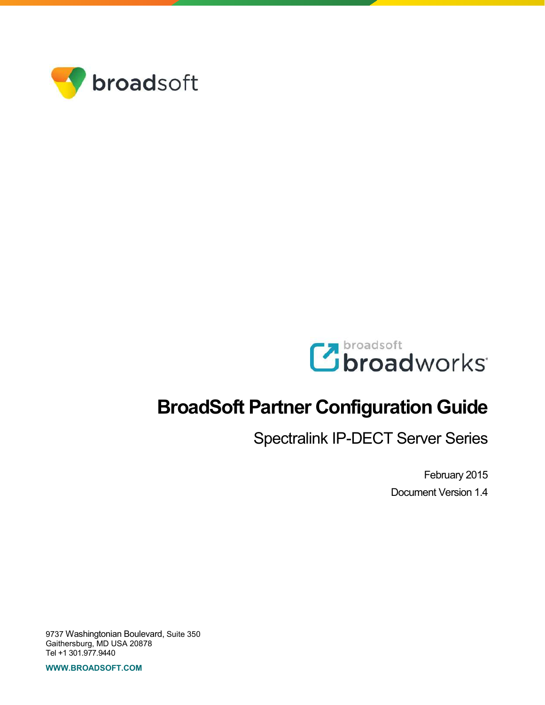



# **BroadSoft Partner Configuration Guide**

Spectralink IP-DECT Server Series

February 2015 Document Version 1.4

9737 Washingtonian Boulevard, Suite 350 Gaithersburg, MD USA 20878 Tel +1 301.977.9440

**WWW.BROADSOFT.COM**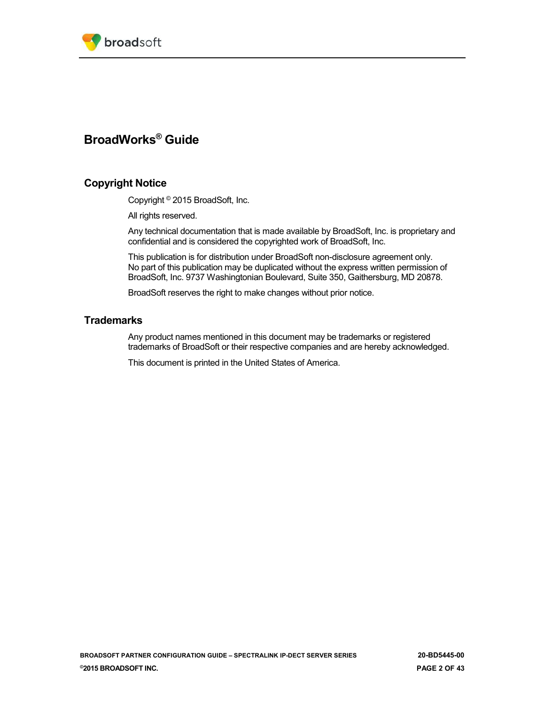

## **BroadWorks® Guide**

## **Copyright Notice**

Copyright © 2015 BroadSoft, Inc.

All rights reserved.

Any technical documentation that is made available by BroadSoft, Inc. is proprietary and confidential and is considered the copyrighted work of BroadSoft, Inc.

This publication is for distribution under BroadSoft non-disclosure agreement only. No part of this publication may be duplicated without the express written permission of BroadSoft, Inc. 9737 Washingtonian Boulevard, Suite 350, Gaithersburg, MD 20878.

BroadSoft reserves the right to make changes without prior notice.

## **Trademarks**

Any product names mentioned in this document may be trademarks or registered trademarks of BroadSoft or their respective companies and are hereby acknowledged.

This document is printed in the United States of America.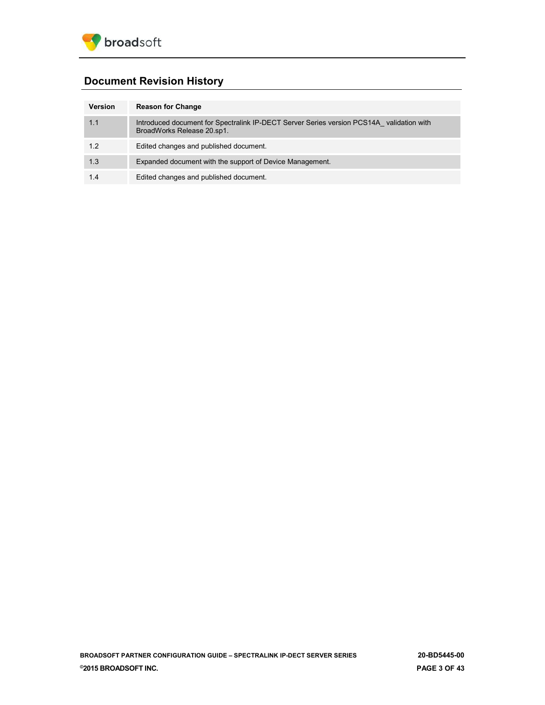

## **Document Revision History**

| Version | <b>Reason for Change</b>                                                                                               |
|---------|------------------------------------------------------------------------------------------------------------------------|
| 1.1     | Introduced document for Spectralink IP-DECT Server Series version PCS14A validation with<br>BroadWorks Release 20.sp1. |
| 1.2     | Edited changes and published document.                                                                                 |
| 1.3     | Expanded document with the support of Device Management.                                                               |
| 1.4     | Edited changes and published document.                                                                                 |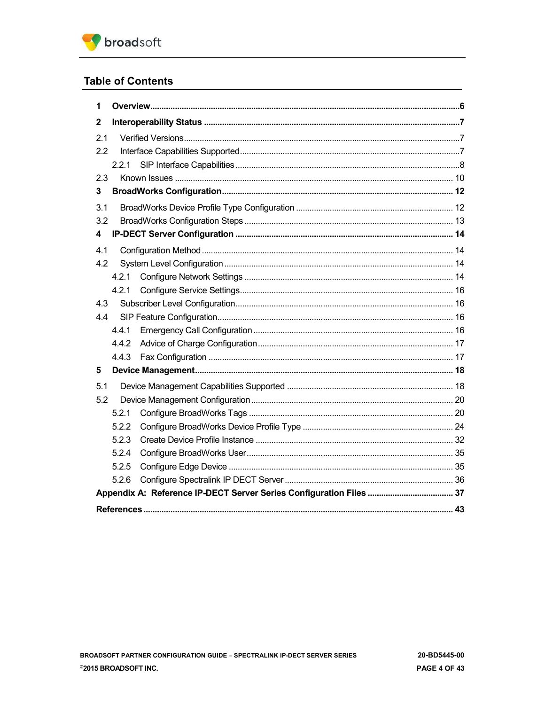

## **Table of Contents**

| 1   |       |  |
|-----|-------|--|
| 2   |       |  |
| 2.1 |       |  |
| 2.2 |       |  |
|     | 2.2.1 |  |
| 2.3 |       |  |
| 3   |       |  |
| 3.1 |       |  |
| 3.2 |       |  |
| 4   |       |  |
| 4.1 |       |  |
| 4.2 |       |  |
|     | 4.2.1 |  |
|     | 4.2.1 |  |
| 4.3 |       |  |
| 4.4 |       |  |
|     | 4.4.1 |  |
|     | 4.4.2 |  |
|     | 4.4.3 |  |
| 5   |       |  |
| 5.1 |       |  |
| 5.2 |       |  |
|     | 5.2.1 |  |
|     | 5.2.2 |  |
|     | 5.2.3 |  |
|     | 5.2.4 |  |
|     | 5.2.5 |  |
|     | 5.2.6 |  |
|     |       |  |
|     |       |  |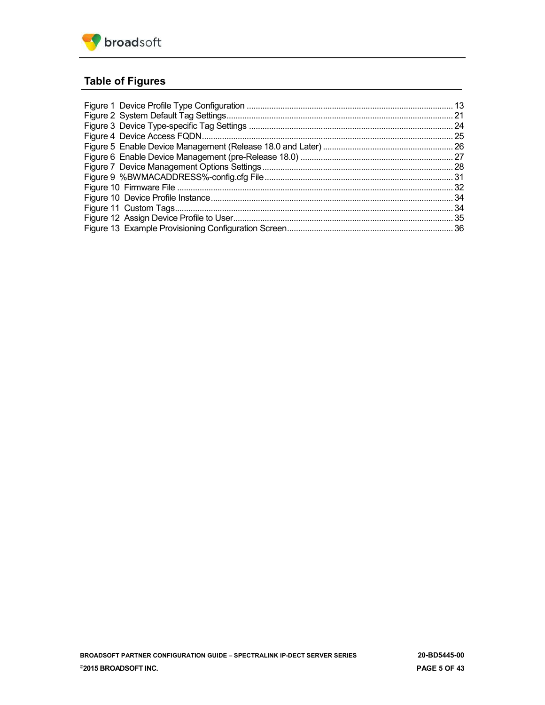

## **Table of Figures**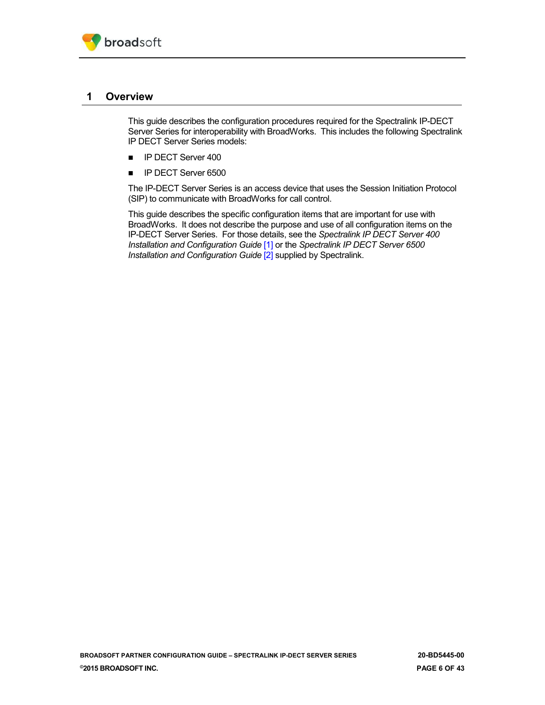

## <span id="page-5-0"></span>**1 Overview**

This guide describes the configuration procedures required for the Spectralink IP-DECT Server Series for interoperability with BroadWorks. This includes the following Spectralink IP DECT Server Series models:

- **I** IP DECT Server 400
- **I** IP DECT Server 6500

The IP-DECT Server Series is an access device that uses the Session Initiation Protocol (SIP) to communicate with BroadWorks for call control.

This guide describes the specific configuration items that are important for use with BroadWorks. It does not describe the purpose and use of all configuration items on the IP-DECT Server Series. For those details, see the *Spectralink IP DECT Server 400 Installation and Configuration Guide* [\[1\]](#page-42-1) or the *Spectralink IP DECT Server 6500 Installation and Configuration Guide* [\[2\]](#page-42-2) supplied by Spectralink.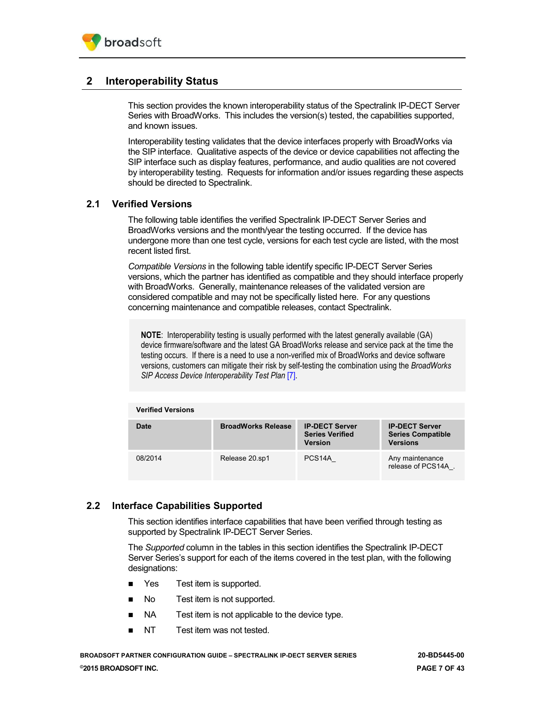## <span id="page-6-0"></span>**2 Interoperability Status**

This section provides the known interoperability status of the Spectralink IP-DECT Server Series with BroadWorks. This includes the version(s) tested, the capabilities supported, and known issues.

Interoperability testing validates that the device interfaces properly with BroadWorks via the SIP interface. Qualitative aspects of the device or device capabilities not affecting the SIP interface such as display features, performance, and audio qualities are not covered by interoperability testing. Requests for information and/or issues regarding these aspects should be directed to Spectralink.

## <span id="page-6-1"></span>**2.1 Verified Versions**

The following table identifies the verified Spectralink IP-DECT Server Series and BroadWorks versions and the month/year the testing occurred. If the device has undergone more than one test cycle, versions for each test cycle are listed, with the most recent listed first.

*Compatible Versions* in the following table identify specific IP-DECT Server Series versions, which the partner has identified as compatible and they should interface properly with BroadWorks. Generally, maintenance releases of the validated version are considered compatible and may not be specifically listed here. For any questions concerning maintenance and compatible releases, contact Spectralink.

**NOTE**: Interoperability testing is usually performed with the latest generally available (GA) device firmware/software and the latest GA BroadWorks release and service pack at the time the testing occurs. If there is a need to use a non-verified mix of BroadWorks and device software versions, customers can mitigate their risk by self-testing the combination using the *BroadWorks SIP Access Device Interoperability Test Plan [\[7\].](#page-42-3)* 

| <b>Verified Versions</b> |                           |                                                                   |                                                                      |
|--------------------------|---------------------------|-------------------------------------------------------------------|----------------------------------------------------------------------|
| Date                     | <b>BroadWorks Release</b> | <b>IP-DECT Server</b><br><b>Series Verified</b><br><b>Version</b> | <b>IP-DECT Server</b><br><b>Series Compatible</b><br><b>Versions</b> |
| 08/2014                  | Release 20.sp1            | PCS <sub>14</sub> A                                               | Any maintenance<br>release of PCS14A.                                |

## <span id="page-6-2"></span>**2.2 Interface Capabilities Supported**

This section identifies interface capabilities that have been verified through testing as supported by Spectralink IP-DECT Server Series.

The *Supported* column in the tables in this section identifies the Spectralink IP-DECT Server Series's support for each of the items covered in the test plan, with the following designations:

- Yes Test item is supported.
- No Test item is not supported.
- NA Test item is not applicable to the device type.
- NT Test item was not tested.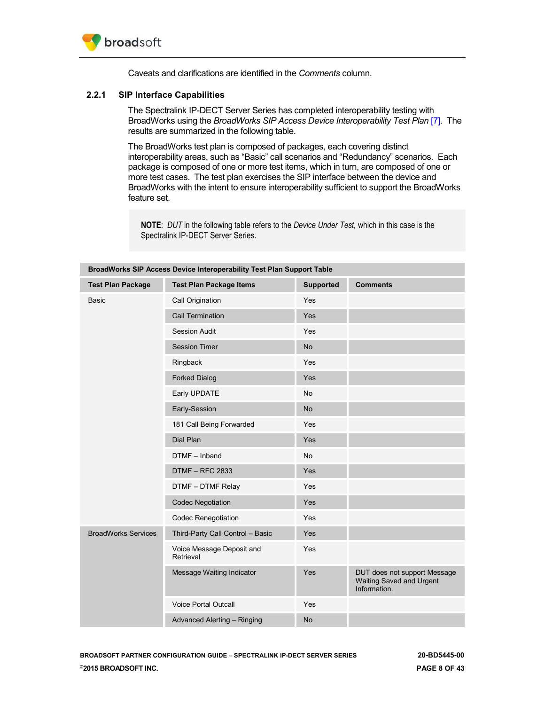

Caveats and clarifications are identified in the *Comments* column.

#### <span id="page-7-0"></span>**2.2.1 SIP Interface Capabilities**

The Spectralink IP-DECT Server Series has completed interoperability testing with BroadWorks using the *BroadWorks SIP Access Device Interoperability Test Plan [7]*. The results are summarized in the following table.

The BroadWorks test plan is composed of packages, each covering distinct interoperability areas, such as "Basic" call scenarios and "Redundancy" scenarios. Each package is composed of one or more test items, which in turn, are composed of one or more test cases. The test plan exercises the SIP interface between the device and BroadWorks with the intent to ensure interoperability sufficient to support the BroadWorks feature set.

**NOTE**: *DUT* in the following table refers to the *Device Under Test,* which in this case is the Spectralink IP-DECT Server Series.

| BroadWorks SIP Access Device Interoperability Test Plan Support Table |                                        |                  |                                                                          |
|-----------------------------------------------------------------------|----------------------------------------|------------------|--------------------------------------------------------------------------|
| <b>Test Plan Package</b>                                              | <b>Test Plan Package Items</b>         | <b>Supported</b> | <b>Comments</b>                                                          |
| <b>Basic</b>                                                          | Call Origination                       | Yes              |                                                                          |
|                                                                       | <b>Call Termination</b>                | Yes              |                                                                          |
|                                                                       | <b>Session Audit</b>                   | Yes              |                                                                          |
|                                                                       | <b>Session Timer</b>                   | <b>No</b>        |                                                                          |
|                                                                       | Ringback                               | Yes              |                                                                          |
|                                                                       | <b>Forked Dialog</b>                   | Yes              |                                                                          |
|                                                                       | Early UPDATE                           | <b>No</b>        |                                                                          |
|                                                                       | Early-Session                          | <b>No</b>        |                                                                          |
|                                                                       | 181 Call Being Forwarded               | Yes              |                                                                          |
|                                                                       | Dial Plan                              | Yes              |                                                                          |
|                                                                       | DTMF - Inband                          | No               |                                                                          |
|                                                                       | <b>DTMF - RFC 2833</b>                 | Yes              |                                                                          |
|                                                                       | DTMF - DTMF Relay                      | Yes              |                                                                          |
|                                                                       | <b>Codec Negotiation</b>               | Yes              |                                                                          |
|                                                                       | <b>Codec Renegotiation</b>             | Yes              |                                                                          |
| <b>BroadWorks Services</b>                                            | Third-Party Call Control - Basic       | Yes              |                                                                          |
|                                                                       | Voice Message Deposit and<br>Retrieval | Yes              |                                                                          |
|                                                                       | Message Waiting Indicator              | Yes              | DUT does not support Message<br>Waiting Saved and Urgent<br>Information. |
|                                                                       | <b>Voice Portal Outcall</b>            | Yes              |                                                                          |
|                                                                       | Advanced Alerting - Ringing            | <b>No</b>        |                                                                          |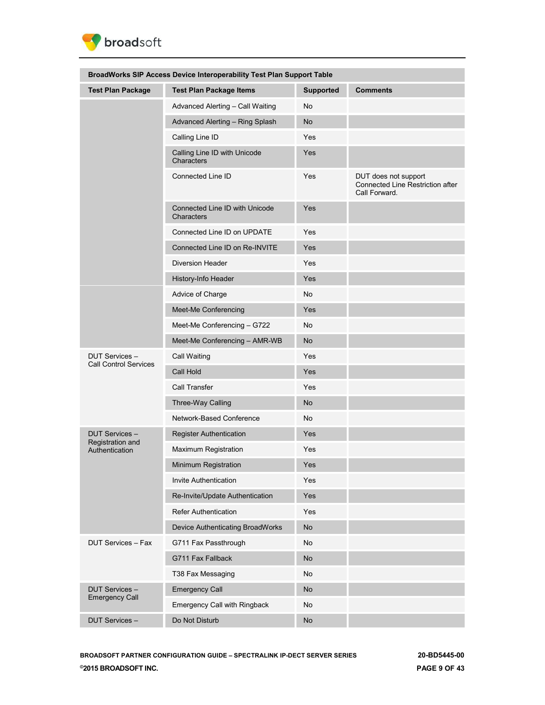

| BroadWorks SIP Access Device Interoperability Test Plan Support Table |                                              |                  |                                                                           |
|-----------------------------------------------------------------------|----------------------------------------------|------------------|---------------------------------------------------------------------------|
| <b>Test Plan Package</b>                                              | <b>Test Plan Package Items</b>               | <b>Supported</b> | <b>Comments</b>                                                           |
|                                                                       | Advanced Alerting - Call Waiting             | No               |                                                                           |
|                                                                       | Advanced Alerting - Ring Splash              | <b>No</b>        |                                                                           |
|                                                                       | Calling Line ID                              | Yes              |                                                                           |
|                                                                       | Calling Line ID with Unicode<br>Characters   | Yes              |                                                                           |
|                                                                       | Connected Line ID                            | Yes              | DUT does not support<br>Connected Line Restriction after<br>Call Forward. |
|                                                                       | Connected Line ID with Unicode<br>Characters | Yes              |                                                                           |
|                                                                       | Connected Line ID on UPDATE                  | Yes              |                                                                           |
|                                                                       | Connected Line ID on Re-INVITE               | Yes              |                                                                           |
|                                                                       | <b>Diversion Header</b>                      | Yes              |                                                                           |
|                                                                       | History-Info Header                          | Yes              |                                                                           |
|                                                                       | Advice of Charge                             | No               |                                                                           |
|                                                                       | Meet-Me Conferencing                         | Yes              |                                                                           |
|                                                                       | Meet-Me Conferencing - G722                  | <b>No</b>        |                                                                           |
|                                                                       | Meet-Me Conferencing - AMR-WB                | <b>No</b>        |                                                                           |
| DUT Services -                                                        | Call Waiting                                 | Yes              |                                                                           |
| <b>Call Control Services</b>                                          | Call Hold                                    | Yes              |                                                                           |
|                                                                       | Call Transfer                                | Yes              |                                                                           |
|                                                                       | Three-Way Calling                            | <b>No</b>        |                                                                           |
|                                                                       | Network-Based Conference                     | <b>No</b>        |                                                                           |
| <b>DUT Services -</b>                                                 | Register Authentication                      | Yes              |                                                                           |
| Registration and<br>Authentication                                    | Maximum Registration                         | Yes              |                                                                           |
|                                                                       | Minimum Registration                         | Yes              |                                                                           |
|                                                                       | Invite Authentication                        | Yes              |                                                                           |
|                                                                       | Re-Invite/Update Authentication              | Yes              |                                                                           |
|                                                                       | <b>Refer Authentication</b>                  | Yes              |                                                                           |
|                                                                       | Device Authenticating BroadWorks             | <b>No</b>        |                                                                           |
| <b>DUT Services - Fax</b>                                             | G711 Fax Passthrough                         | No               |                                                                           |
|                                                                       | G711 Fax Fallback                            | <b>No</b>        |                                                                           |
|                                                                       | T38 Fax Messaging                            | No               |                                                                           |
| <b>DUT Services -</b>                                                 | <b>Emergency Call</b>                        | <b>No</b>        |                                                                           |
| <b>Emergency Call</b>                                                 | <b>Emergency Call with Ringback</b>          | No               |                                                                           |
| DUT Services -                                                        | Do Not Disturb                               | <b>No</b>        |                                                                           |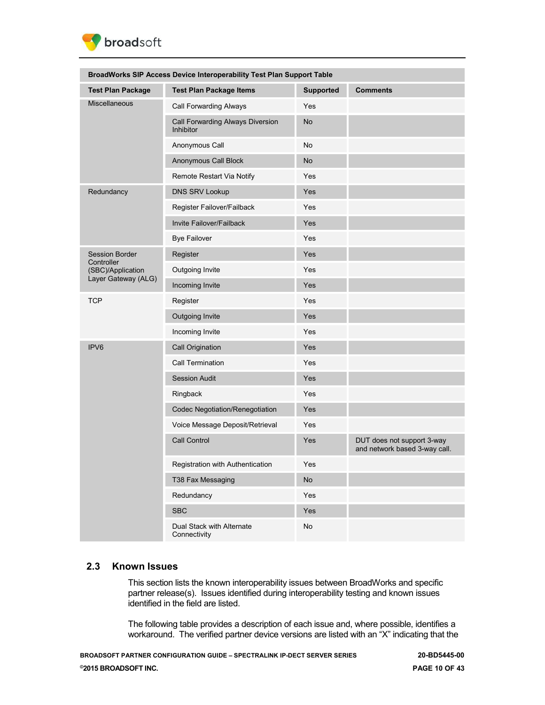

| BroadWorks SIP Access Device Interoperability Test Plan Support Table |                                                      |                  |                                                             |
|-----------------------------------------------------------------------|------------------------------------------------------|------------------|-------------------------------------------------------------|
| <b>Test Plan Package</b>                                              | <b>Test Plan Package Items</b>                       | <b>Supported</b> | <b>Comments</b>                                             |
| <b>Miscellaneous</b>                                                  | Call Forwarding Always                               | Yes              |                                                             |
|                                                                       | Call Forwarding Always Diversion<br><b>Inhibitor</b> | <b>No</b>        |                                                             |
|                                                                       | Anonymous Call                                       | No               |                                                             |
|                                                                       | Anonymous Call Block                                 | No               |                                                             |
|                                                                       | Remote Restart Via Notify                            | Yes              |                                                             |
| Redundancy                                                            | <b>DNS SRV Lookup</b>                                | Yes              |                                                             |
|                                                                       | Register Failover/Failback                           | Yes              |                                                             |
|                                                                       | Invite Failover/Failback                             | Yes              |                                                             |
|                                                                       | <b>Bye Failover</b>                                  | Yes              |                                                             |
| <b>Session Border</b>                                                 | Register                                             | Yes              |                                                             |
| Controller<br>(SBC)/Application                                       | Outgoing Invite                                      | Yes              |                                                             |
| Layer Gateway (ALG)                                                   | Incoming Invite                                      | Yes              |                                                             |
| <b>TCP</b>                                                            | Register                                             | Yes              |                                                             |
|                                                                       | Outgoing Invite                                      | Yes              |                                                             |
|                                                                       | Incoming Invite                                      | Yes              |                                                             |
| IPV <sub>6</sub>                                                      | Call Origination                                     | Yes              |                                                             |
|                                                                       | Call Termination                                     | Yes              |                                                             |
|                                                                       | <b>Session Audit</b>                                 | Yes              |                                                             |
|                                                                       | Ringback                                             | Yes              |                                                             |
|                                                                       | Codec Negotiation/Renegotiation                      | Yes              |                                                             |
|                                                                       | Voice Message Deposit/Retrieval                      | Yes              |                                                             |
|                                                                       | Call Control                                         | Yes              | DUT does not support 3-way<br>and network based 3-way call. |
|                                                                       | <b>Registration with Authentication</b>              | Yes              |                                                             |
|                                                                       | T38 Fax Messaging                                    | No               |                                                             |
|                                                                       | Redundancy                                           | Yes              |                                                             |
|                                                                       | <b>SBC</b>                                           | Yes              |                                                             |
|                                                                       | Dual Stack with Alternate<br>Connectivity            | No               |                                                             |

### <span id="page-9-0"></span>**2.3 Known Issues**

This section lists the known interoperability issues between BroadWorks and specific partner release(s). Issues identified during interoperability testing and known issues identified in the field are listed.

The following table provides a description of each issue and, where possible, identifies a workaround. The verified partner device versions are listed with an "X" indicating that the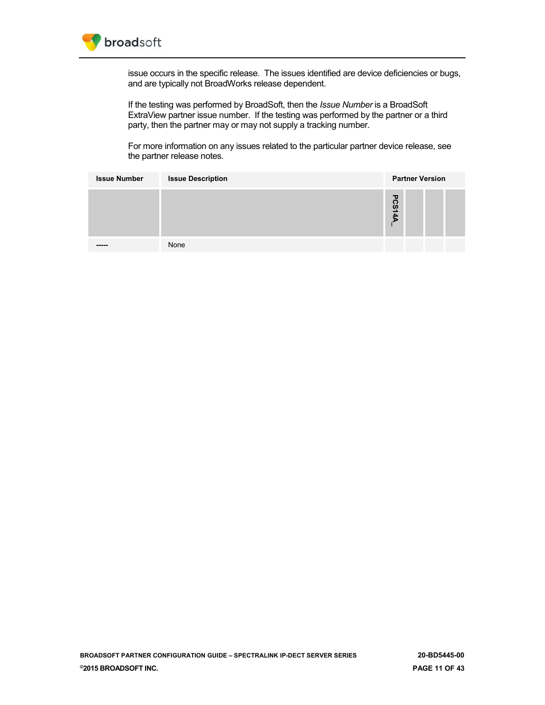

issue occurs in the specific release. The issues identified are device deficiencies or bugs, and are typically not BroadWorks release dependent.

If the testing was performed by BroadSoft, then the *Issue Number* is a BroadSoft ExtraView partner issue number. If the testing was performed by the partner or a third party, then the partner may or may not supply a tracking number.

For more information on any issues related to the particular partner device release, see the partner release notes*.*

| <b>Issue Number</b> | <b>Issue Description</b> | <b>Partner Version</b> |
|---------------------|--------------------------|------------------------|
|                     |                          | <b>PCS14A</b>          |
| -----               | None                     |                        |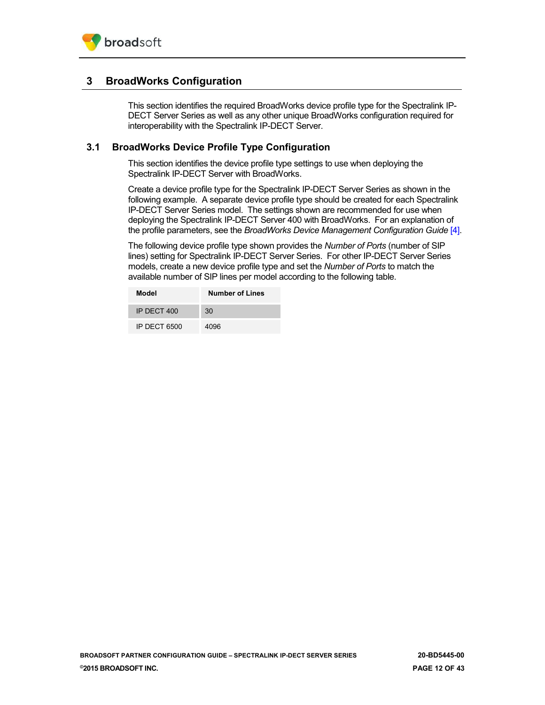## <span id="page-11-0"></span>**3 BroadWorks Configuration**

This section identifies the required BroadWorks device profile type for the Spectralink IP-DECT Server Series as well as any other unique BroadWorks configuration required for interoperability with the Spectralink IP-DECT Server.

## <span id="page-11-1"></span>**3.1 BroadWorks Device Profile Type Configuration**

This section identifies the device profile type settings to use when deploying the Spectralink IP-DECT Server with BroadWorks.

Create a device profile type for the Spectralink IP-DECT Server Series as shown in the following example. A separate device profile type should be created for each Spectralink IP-DECT Server Series model. The settings shown are recommended for use when deploying the Spectralink IP-DECT Server 400 with BroadWorks. For an explanation of the profile parameters, see the *BroadWorks Device Management Configuration Guide* [\[4\].](#page-42-4)

The following device profile type shown provides the *Number of Ports* (number of SIP lines) setting for Spectralink IP-DECT Server Series. For other IP-DECT Server Series models, create a new device profile type and set the *Number of Ports* to match the available number of SIP lines per model according to the following table.

| Model        | <b>Number of Lines</b> |
|--------------|------------------------|
| IP DECT 400  | 30                     |
| IP DECT 6500 | 4096                   |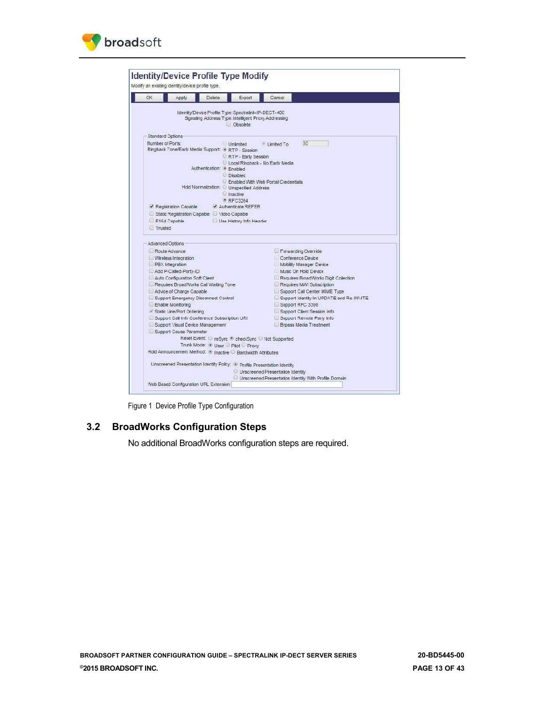



Figure 1 Device Profile Type Configuration

## <span id="page-12-1"></span><span id="page-12-0"></span>**3.2 BroadWorks Configuration Steps**

No additional BroadWorks configuration steps are required.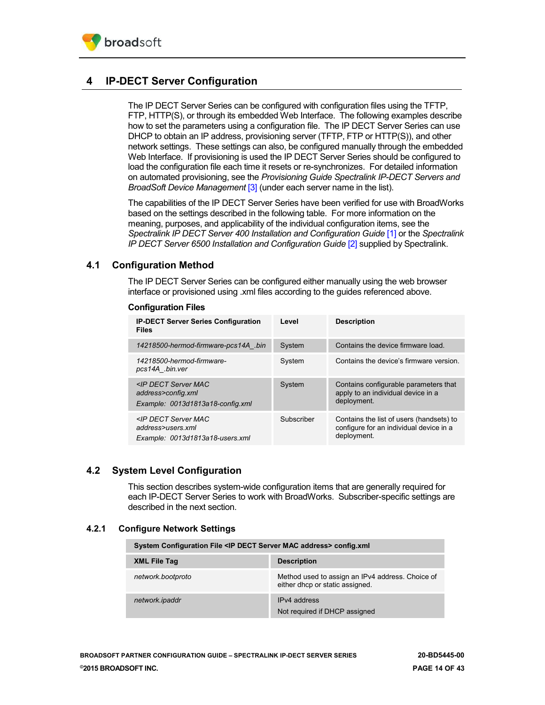

## <span id="page-13-0"></span>**4 IP-DECT Server Configuration**

The IP DECT Server Series can be configured with configuration files using the TFTP, FTP, HTTP(S), or through its embedded Web Interface. The following examples describe how to set the parameters using a configuration file. The IP DECT Server Series can use DHCP to obtain an IP address, provisioning server (TFTP, FTP or HTTP(S)), and other network settings. These settings can also, be configured manually through the embedded Web Interface. If provisioning is used the IP DECT Server Series should be configured to load the configuration file each time it resets or re-synchronizes. For detailed information on automated provisioning, see the *Provisioning Guide Spectralink IP-DECT Servers and BroadSoft Device Management* [\[3\]](#page-42-5) (under each server name in the list).

The capabilities of the IP DECT Server Series have been verified for use with BroadWorks based on the settings described in the following table. For more information on the meaning, purposes, and applicability of the individual configuration items, see the *Spectralink IP DECT Server 400 Installation and Configuration Guide* [\[1\]](#page-42-1) or the *Spectralink IP DECT Server 6500 Installation and Configuration Guide* [\[2\]](#page-42-2) supplied by Spectralink.

## <span id="page-13-1"></span>**4.1 Configuration Method**

The IP DECT Server Series can be configured either manually using the web browser interface or provisioned using .xml files according to the guides referenced above.

| <b>IP-DECT Server Series Configuration</b><br><b>Files</b>                                      | Level      | <b>Description</b>                                                                                 |
|-------------------------------------------------------------------------------------------------|------------|----------------------------------------------------------------------------------------------------|
| 14218500-hermod-firmware-pcs14A .bin                                                            | System     | Contains the device firmware load.                                                                 |
| 14218500-hermod-firmware-<br>pcs14A .bin.ver                                                    | System     | Contains the device's firmware version.                                                            |
| <ip dect="" mac<br="" server="">address&gt;config.xml<br/>Example: 0013d1813a18-config.xml</ip> | System     | Contains configurable parameters that<br>apply to an individual device in a<br>deployment.         |
| <ip dect="" mac<br="" server="">address&gt;users.xml<br/>Example: 0013d1813a18-users.xml</ip>   | Subscriber | Contains the list of users (handsets) to<br>configure for an individual device in a<br>deployment. |

#### **Configuration Files**

## <span id="page-13-2"></span>**4.2 System Level Configuration**

This section describes system-wide configuration items that are generally required for each IP-DECT Server Series to work with BroadWorks. Subscriber-specific settings are described in the next section.

### <span id="page-13-3"></span>**4.2.1 Configure Network Settings**

| System Configuration File <ip address="" dect="" mac="" server=""> config.xml</ip> |                                                                                     |  |
|------------------------------------------------------------------------------------|-------------------------------------------------------------------------------------|--|
| <b>XML File Tag</b>                                                                | <b>Description</b>                                                                  |  |
| network.bootproto                                                                  | Method used to assign an IPv4 address. Choice of<br>either dhcp or static assigned. |  |
| network.ipaddr                                                                     | IP <sub>v</sub> 4 address<br>Not required if DHCP assigned                          |  |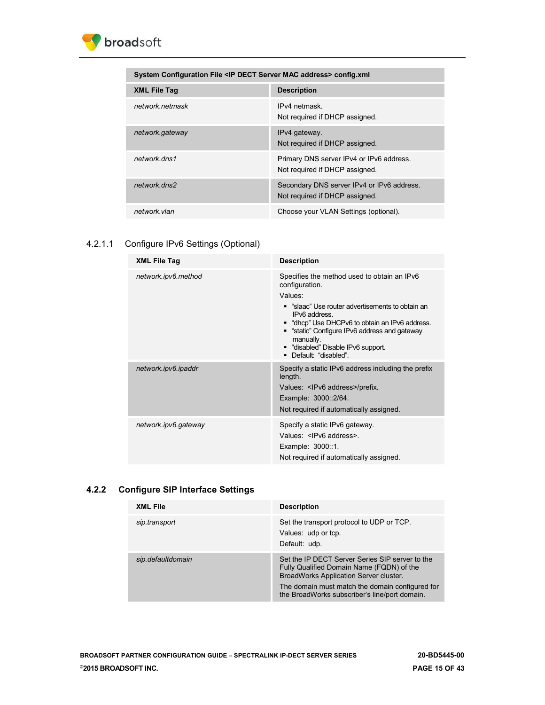

| System Configuration File <ip address="" dect="" mac="" server=""> config.xml</ip> |                                                                              |  |
|------------------------------------------------------------------------------------|------------------------------------------------------------------------------|--|
| <b>XML File Tag</b>                                                                | <b>Description</b>                                                           |  |
| network.netmask                                                                    | IPv4 netmask.<br>Not required if DHCP assigned.                              |  |
| network.gateway                                                                    | IPv4 gateway.<br>Not required if DHCP assigned.                              |  |
| network dns1                                                                       | Primary DNS server IPv4 or IPv6 address.<br>Not required if DHCP assigned.   |  |
| network.dns2                                                                       | Secondary DNS server IPv4 or IPv6 address.<br>Not required if DHCP assigned. |  |
| network.vlan                                                                       | Choose your VLAN Settings (optional).                                        |  |
|                                                                                    |                                                                              |  |

## 4.2.1.1 Configure IPv6 Settings (Optional)

| <b>XML File Tag</b>  | <b>Description</b>                                                                                                                                                                                                                                                                                                          |
|----------------------|-----------------------------------------------------------------------------------------------------------------------------------------------------------------------------------------------------------------------------------------------------------------------------------------------------------------------------|
| network.ipv6.method  | Specifies the method used to obtain an IPv6<br>configuration.<br>Values:<br>" "slaac" Use router advertisements to obtain an<br>IPv6 address.<br>• "dhcp" Use DHCPv6 to obtain an IPv6 address.<br>"static" Configure IPv6 address and gateway<br>manually.<br>" "disabled" Disable IPv6 support.<br>• Default: "disabled". |
| network.ipv6.ipaddr  | Specify a static IPv6 address including the prefix<br>length.<br>Values: <ipv6 address="">/prefix.<br/>Example: 3000::2/64.<br/>Not required if automatically assigned.</ipv6>                                                                                                                                              |
| network.ipv6.gateway | Specify a static IPv6 gateway.<br>Values: <ipv6 address="">.<br/>Example: 3000::1.<br/>Not required if automatically assigned.</ipv6>                                                                                                                                                                                       |

## **4.2.2 Configure SIP Interface Settings**

| <b>XML File</b>   | <b>Description</b>                                                                                                                                                                                                                         |
|-------------------|--------------------------------------------------------------------------------------------------------------------------------------------------------------------------------------------------------------------------------------------|
| sip.transport     | Set the transport protocol to UDP or TCP.<br>Values: udp or tcp.<br>Default: udp.                                                                                                                                                          |
| sip.defaultdomain | Set the IP DECT Server Series SIP server to the<br>Fully Qualified Domain Name (FQDN) of the<br>BroadWorks Application Server cluster.<br>The domain must match the domain configured for<br>the BroadWorks subscriber's line/port domain. |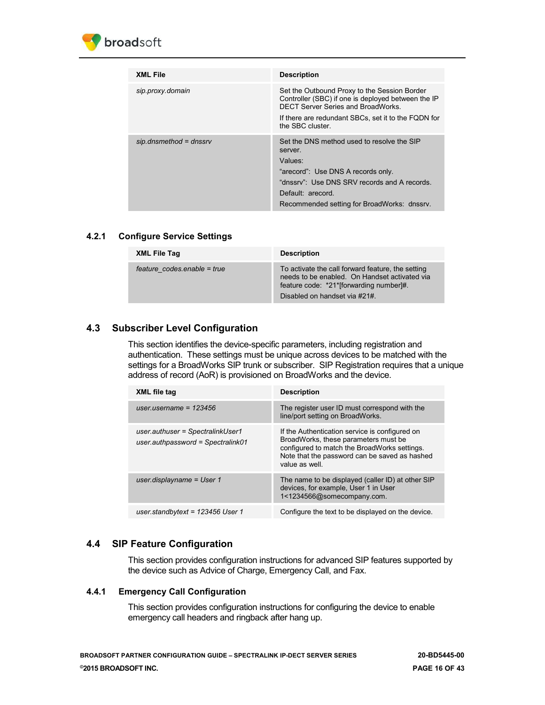

| <b>XML File</b>          | <b>Description</b>                                                                                                                                                                                                         |
|--------------------------|----------------------------------------------------------------------------------------------------------------------------------------------------------------------------------------------------------------------------|
| sip.proxy.domain         | Set the Outbound Proxy to the Session Border<br>Controller (SBC) if one is deployed between the IP<br>DECT Server Series and BroadWorks                                                                                    |
|                          | If there are redundant SBCs, set it to the FQDN for<br>the SBC cluster.                                                                                                                                                    |
| $sip.dnsmethod = dnssrv$ | Set the DNS method used to resolve the SIP<br>server.<br>Values:<br>"arecord": Use DNS A records only.<br>"dnssry": Use DNS SRV records and A records.<br>Default: arecord.<br>Recommended setting for BroadWorks: dnssrv. |

## <span id="page-15-0"></span>**4.2.1 Configure Service Settings**

| <b>XML File Tag</b>         | <b>Description</b>                                                                                                                                                             |
|-----------------------------|--------------------------------------------------------------------------------------------------------------------------------------------------------------------------------|
| feature codes enable = true | To activate the call forward feature, the setting<br>needs to be enabled. On Handset activated via<br>feature code: *21*[forwarding number]#.<br>Disabled on handset via #21#. |

## <span id="page-15-1"></span>**4.3 Subscriber Level Configuration**

This section identifies the device-specific parameters, including registration and authentication. These settings must be unique across devices to be matched with the settings for a BroadWorks SIP trunk or subscriber. SIP Registration requires that a unique address of record (AoR) is provisioned on BroadWorks and the device.

| XML file tag                                                          | <b>Description</b>                                                                                                                                                                                       |
|-----------------------------------------------------------------------|----------------------------------------------------------------------------------------------------------------------------------------------------------------------------------------------------------|
| user username = $123456$                                              | The register user ID must correspond with the<br>line/port setting on BroadWorks.                                                                                                                        |
| user.authuser = SpectralinkUser1<br>user.authpassword = Spectralink01 | If the Authentication service is configured on<br>BroadWorks, these parameters must be<br>configured to match the BroadWorks settings.<br>Note that the password can be saved as hashed<br>value as well |
| user.displayname = $User 1$                                           | The name to be displayed (caller ID) at other SIP<br>devices, for example, User 1 in User<br>1<1234566@somecompany.com.                                                                                  |
| user.standbytext = $123456$ User 1                                    | Configure the text to be displayed on the device.                                                                                                                                                        |

## <span id="page-15-2"></span>**4.4 SIP Feature Configuration**

This section provides configuration instructions for advanced SIP features supported by the device such as Advice of Charge, Emergency Call, and Fax.

### <span id="page-15-3"></span>**4.4.1 Emergency Call Configuration**

This section provides configuration instructions for configuring the device to enable emergency call headers and ringback after hang up.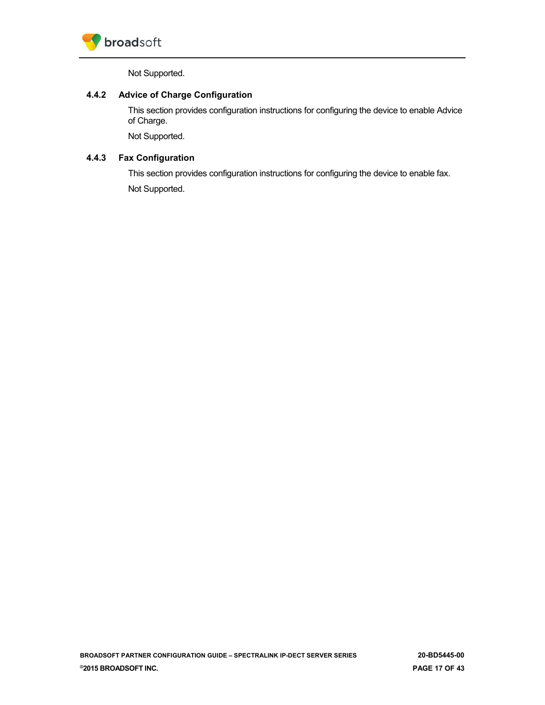

Not Supported.

## <span id="page-16-0"></span>**4.4.2 Advice of Charge Configuration**

This section provides configuration instructions for configuring the device to enable Advice of Charge.

Not Supported.

## <span id="page-16-1"></span>**4.4.3 Fax Configuration**

This section provides configuration instructions for configuring the device to enable fax. Not Supported.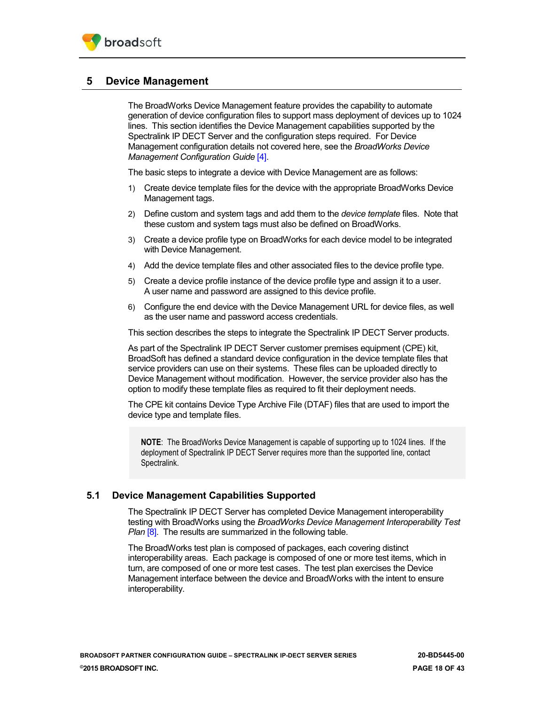## <span id="page-17-0"></span>**5 Device Management**

The BroadWorks Device Management feature provides the capability to automate generation of device configuration files to support mass deployment of devices up to 1024 lines. This section identifies the Device Management capabilities supported by the Spectralink IP DECT Server and the configuration steps required. For Device Management configuration details not covered here, see the *BroadWorks Device Management Configuration Guide* [\[4\].](#page-42-4)

The basic steps to integrate a device with Device Management are as follows:

- 1) Create device template files for the device with the appropriate BroadWorks Device Management tags.
- 2) Define custom and system tags and add them to the *device template* files. Note that these custom and system tags must also be defined on BroadWorks.
- 3) Create a device profile type on BroadWorks for each device model to be integrated with Device Management.
- 4) Add the device template files and other associated files to the device profile type.
- 5) Create a device profile instance of the device profile type and assign it to a user. A user name and password are assigned to this device profile.
- 6) Configure the end device with the Device Management URL for device files, as well as the user name and password access credentials.

This section describes the steps to integrate the Spectralink IP DECT Server products.

As part of the Spectralink IP DECT Server customer premises equipment (CPE) kit, BroadSoft has defined a standard device configuration in the device template files that service providers can use on their systems. These files can be uploaded directly to Device Management without modification. However, the service provider also has the option to modify these template files as required to fit their deployment needs.

The CPE kit contains Device Type Archive File (DTAF) files that are used to import the device type and template files.

**NOTE**: The BroadWorks Device Management is capable of supporting up to 1024 lines. If the deployment of Spectralink IP DECT Server requires more than the supported line, contact Spectralink.

## <span id="page-17-1"></span>**5.1 Device Management Capabilities Supported**

The Spectralink IP DECT Server has completed Device Management interoperability testing with BroadWorks using the *BroadWorks Device Management Interoperability Test Plan* [\[8\].](#page-42-6) The results are summarized in the following table.

The BroadWorks test plan is composed of packages, each covering distinct interoperability areas. Each package is composed of one or more test items, which in turn, are composed of one or more test cases. The test plan exercises the Device Management interface between the device and BroadWorks with the intent to ensure interoperability.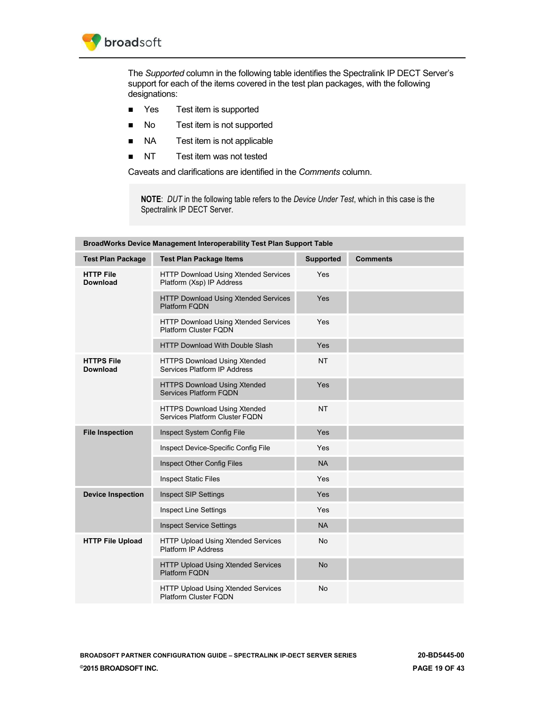

The *Supported* column in the following table identifies the Spectralink IP DECT Server's support for each of the items covered in the test plan packages, with the following designations:

- Yes Test item is supported
- No Test item is not supported
- NA Test item is not applicable
- NT Test item was not tested

Caveats and clarifications are identified in the *Comments* column.

**NOTE**: *DUT* in the following table refers to the *Device Under Test*, which in this case is the Spectralink IP DECT Server.

| BroadWorks Device Management Interoperability Test Plan Support Table |                                                                           |                  |                 |
|-----------------------------------------------------------------------|---------------------------------------------------------------------------|------------------|-----------------|
| <b>Test Plan Package</b>                                              | <b>Test Plan Package Items</b>                                            | <b>Supported</b> | <b>Comments</b> |
| <b>HTTP File</b><br><b>Download</b>                                   | HTTP Download Using Xtended Services<br>Platform (Xsp) IP Address         | Yes              |                 |
|                                                                       | HTTP Download Using Xtended Services<br><b>Platform FQDN</b>              | Yes              |                 |
|                                                                       | <b>HTTP Download Using Xtended Services</b><br>Platform Cluster FODN      | Yes              |                 |
|                                                                       | <b>HTTP Download With Double Slash</b>                                    | Yes              |                 |
| <b>HTTPS File</b><br><b>Download</b>                                  | <b>HTTPS Download Using Xtended</b><br>Services Platform IP Address       | <b>NT</b>        |                 |
|                                                                       | <b>HTTPS Download Using Xtended</b><br><b>Services Platform FQDN</b>      | Yes              |                 |
|                                                                       | <b>HTTPS Download Using Xtended</b><br>Services Platform Cluster FQDN     | <b>NT</b>        |                 |
| <b>File Inspection</b>                                                | Inspect System Config File                                                | Yes              |                 |
|                                                                       | Inspect Device-Specific Config File                                       | Yes              |                 |
|                                                                       | Inspect Other Config Files                                                | <b>NA</b>        |                 |
|                                                                       | <b>Inspect Static Files</b>                                               | Yes              |                 |
| <b>Device Inspection</b>                                              | <b>Inspect SIP Settings</b>                                               | Yes              |                 |
|                                                                       | <b>Inspect Line Settings</b>                                              | Yes              |                 |
|                                                                       | <b>Inspect Service Settings</b>                                           | <b>NA</b>        |                 |
| <b>HTTP File Upload</b>                                               | HTTP Upload Using Xtended Services<br>Platform IP Address                 | <b>No</b>        |                 |
|                                                                       | HTTP Upload Using Xtended Services<br><b>Platform FQDN</b>                | <b>No</b>        |                 |
|                                                                       | <b>HTTP Upload Using Xtended Services</b><br><b>Platform Cluster FQDN</b> | No               |                 |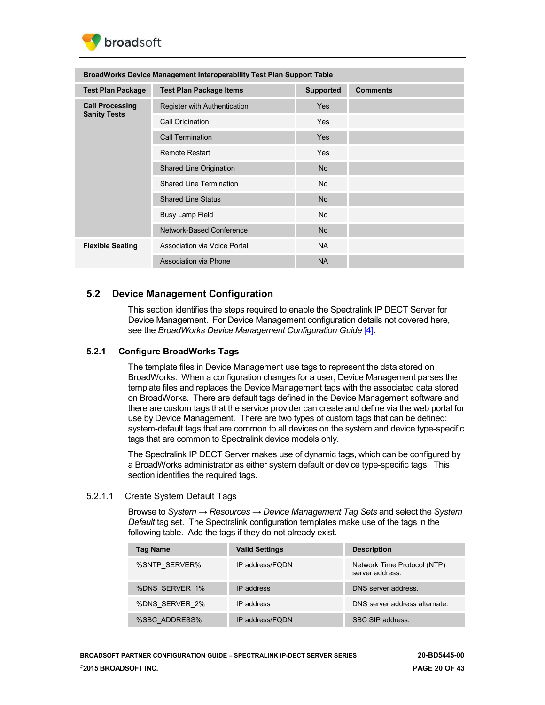

| <b>BroadWorks Device Management Interoperability Test Plan Support Table</b> |                                |                  |                 |
|------------------------------------------------------------------------------|--------------------------------|------------------|-----------------|
| <b>Test Plan Package</b>                                                     | <b>Test Plan Package Items</b> | <b>Supported</b> | <b>Comments</b> |
| <b>Call Processing</b>                                                       | Register with Authentication   | <b>Yes</b>       |                 |
| <b>Sanity Tests</b>                                                          | Call Origination               | <b>Yes</b>       |                 |
|                                                                              | <b>Call Termination</b>        | <b>Yes</b>       |                 |
|                                                                              | <b>Remote Restart</b>          | <b>Yes</b>       |                 |
|                                                                              | Shared Line Origination        | <b>No</b>        |                 |
|                                                                              | <b>Shared Line Termination</b> | No.              |                 |
|                                                                              | <b>Shared Line Status</b>      | <b>No</b>        |                 |
|                                                                              | Busy Lamp Field                | No.              |                 |
|                                                                              | Network-Based Conference       | <b>No</b>        |                 |
| <b>Flexible Seating</b>                                                      | Association via Voice Portal   | <b>NA</b>        |                 |
|                                                                              | Association via Phone          | <b>NA</b>        |                 |

## <span id="page-19-0"></span>**5.2 Device Management Configuration**

This section identifies the steps required to enable the Spectralink IP DECT Server for Device Management. For Device Management configuration details not covered here, see the *BroadWorks Device Management Configuration Guide* [\[4\].](#page-42-4)

## <span id="page-19-1"></span>**5.2.1 Configure BroadWorks Tags**

The template files in Device Management use tags to represent the data stored on BroadWorks. When a configuration changes for a user, Device Management parses the template files and replaces the Device Management tags with the associated data stored on BroadWorks. There are default tags defined in the Device Management software and there are custom tags that the service provider can create and define via the web portal for use by Device Management. There are two types of custom tags that can be defined: system-default tags that are common to all devices on the system and device type-specific tags that are common to Spectralink device models only.

The Spectralink IP DECT Server makes use of dynamic tags, which can be configured by a BroadWorks administrator as either system default or device type-specific tags. This section identifies the required tags.

### <span id="page-19-2"></span>5.2.1.1 Create System Default Tags

Browse to *System → Resources → Device Management Tag Sets* and select the *System Default* tag set. The Spectralink configuration templates make use of the tags in the following table. Add the tags if they do not already exist.

| <b>Tag Name</b> | <b>Valid Settings</b> | <b>Description</b>                             |
|-----------------|-----------------------|------------------------------------------------|
| %SNTP SERVER%   | IP address/FODN       | Network Time Protocol (NTP)<br>server address. |
| %DNS SERVER 1%  | IP address            | DNS server address.                            |
| %DNS SERVER 2%  | IP address            | DNS server address alternate.                  |
| %SBC ADDRESS%   | IP address/FODN       | SBC SIP address.                               |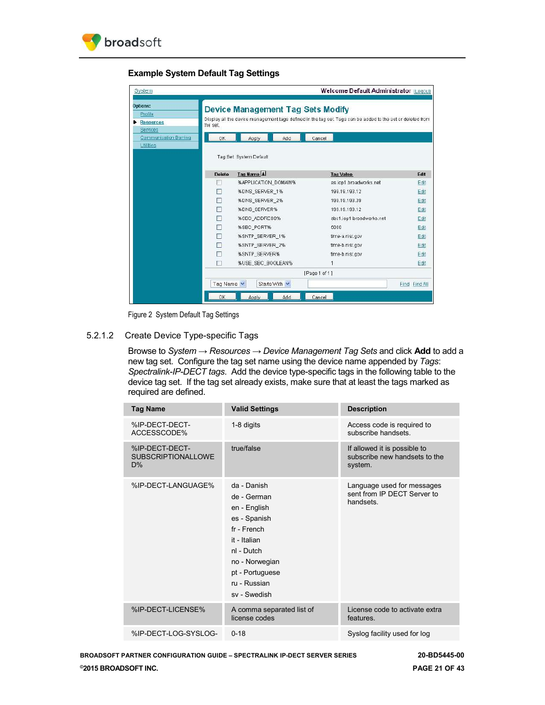

**Example System Default Tag Settings**

| System                                                     |                          |                                   |               | Welcome Default Administrator (Logout)                                                                      |               |
|------------------------------------------------------------|--------------------------|-----------------------------------|---------------|-------------------------------------------------------------------------------------------------------------|---------------|
| <b>Options:</b><br>Profile<br><b>Resources</b><br>Services | the set.                 | Device Management Tag Sets Modify |               | Display all the device management tags defined in the tag set. Tags can be added to the set or deleted from |               |
| Communication Barring                                      | <b>OK</b>                | <b>Apply</b>                      | Add<br>Cancel |                                                                                                             |               |
| Utilities                                                  |                          | Tag Set: System Default           |               |                                                                                                             |               |
|                                                            | Delete                   | Tag Name                          |               | <b>Tag Value</b>                                                                                            | Edit          |
|                                                            |                          | %APPLICATION DOMAIN%              |               | as.iop1.broadworks.net                                                                                      | Edit          |
|                                                            | Œ                        | %DNS_SERVER_1%                    |               | 199.19.193.12                                                                                               | Edit          |
|                                                            | г                        | %DNS SERVER 2%                    |               | 199.19.193.39                                                                                               | Edit          |
|                                                            | P.                       | <b>%DNS SERVER%</b>               |               | 199.19.193.12                                                                                               | Edit          |
|                                                            | $\overline{\mathcal{C}}$ | %SBC ADDRESS%                     |               | sbc1.iop1.broadworks.net                                                                                    | Edit          |
|                                                            | Г                        | %SBC_PORT%                        |               | 5060                                                                                                        | Edit.         |
|                                                            | г                        | %SNTP_SERVER_1%                   |               | time-a.nist.cov                                                                                             | Edit          |
|                                                            |                          | %SNTP_SERVER_2%                   |               | time-b.nist.gov                                                                                             | Edit          |
|                                                            | г                        | %SNTP SERVER%                     |               | time-b.nist.cov                                                                                             | Edit          |
|                                                            | Г                        | %USE SBC BOOLEAN%                 |               |                                                                                                             | Edit          |
|                                                            |                          |                                   | [Page 1 of 1] |                                                                                                             |               |
|                                                            | Tao Name                 | Starts With V                     |               |                                                                                                             | Find Find All |
|                                                            | OK                       | Apply                             | Add<br>Cancel |                                                                                                             |               |

Figure 2 System Default Tag Settings

<span id="page-20-1"></span><span id="page-20-0"></span>5.2.1.2 Create Device Type-specific Tags

Browse to *System → Resources → Device Management Tag Sets* and click **Add** to add a new tag set. Configure the tag set name using the device name appended by *Tags*: *Spectralink-IP-DECT tags*. Add the device type-specific tags in the following table to the device tag set. If the tag set already exists, make sure that at least the tags marked as required are defined.

| <b>Tag Name</b>                                   | <b>Valid Settings</b>                                                                                                                                                        | <b>Description</b>                                                       |
|---------------------------------------------------|------------------------------------------------------------------------------------------------------------------------------------------------------------------------------|--------------------------------------------------------------------------|
| %IP-DECT-DECT-<br>ACCESSCODE%                     | 1-8 digits                                                                                                                                                                   | Access code is required to<br>subscribe handsets.                        |
| %IP-DECT-DECT-<br><b>SUBSCRIPTIONALLOWE</b><br>D% | true/false                                                                                                                                                                   | If allowed it is possible to<br>subscribe new handsets to the<br>system. |
| %IP-DECT-LANGUAGE%                                | da - Danish<br>de - German<br>en - English<br>es - Spanish<br>fr - French<br>it - Italian<br>nl - Dutch<br>no - Norwegian<br>pt - Portuguese<br>ru - Russian<br>sv - Swedish | Language used for messages<br>sent from IP DECT Server to<br>handsets.   |
| %IP-DECT-LICENSE%                                 | A comma separated list of<br>license codes                                                                                                                                   | License code to activate extra<br>features.                              |
| %IP-DECT-LOG-SYSLOG-                              | $0 - 18$                                                                                                                                                                     | Syslog facility used for log                                             |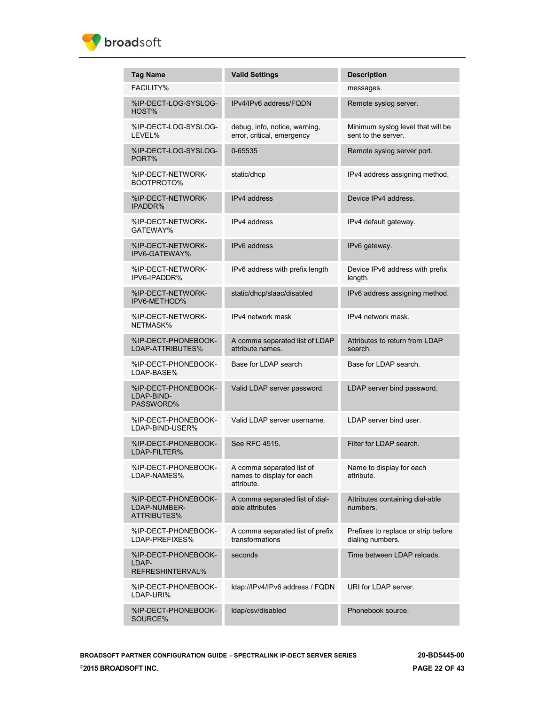

| <b>Tag Name</b>                                           | <b>Valid Settings</b>                                                | <b>Description</b>                                       |
|-----------------------------------------------------------|----------------------------------------------------------------------|----------------------------------------------------------|
| <b>FACILITY%</b>                                          |                                                                      | messages.                                                |
| %IP-DECT-LOG-SYSLOG-<br>HOST%                             | IPv4/IPv6 address/FQDN                                               | Remote syslog server.                                    |
| %IP-DECT-LOG-SYSLOG-<br>LEVEL%                            | debug, info, notice, warning,<br>error, critical, emergency          | Minimum syslog level that will be<br>sent to the server. |
| %IP-DECT-LOG-SYSLOG-<br>PORT%                             | 0-65535                                                              | Remote syslog server port.                               |
| %IP-DECT-NETWORK-<br>BOOTPROTO%                           | static/dhcp                                                          | IPv4 address assigning method.                           |
| %IP-DECT-NETWORK-<br><b>IPADDR%</b>                       | IPv4 address                                                         | Device IPv4 address.                                     |
| %IP-DECT-NETWORK-<br>GATEWAY%                             | IPv4 address                                                         | IPv4 default gateway.                                    |
| %IP-DECT-NETWORK-<br>IPV6-GATEWAY%                        | IPv6 address                                                         | IPv6 gateway.                                            |
| %IP-DECT-NETWORK-<br>IPV6-IPADDR%                         | IPv6 address with prefix length                                      | Device IPv6 address with prefix<br>length.               |
| %IP-DECT-NETWORK-<br>IPV6-METHOD%                         | static/dhcp/slaac/disabled                                           | IPv6 address assigning method.                           |
| %IP-DECT-NETWORK-<br>NETMASK%                             | IPv4 network mask                                                    | IPv4 network mask.                                       |
| %IP-DECT-PHONEBOOK-<br>LDAP-ATTRIBUTES%                   | A comma separated list of LDAP<br>attribute names.                   | Attributes to return from LDAP<br>search.                |
| %IP-DECT-PHONEBOOK-<br>LDAP-BASE%                         | Base for LDAP search                                                 | Base for LDAP search.                                    |
| %IP-DECT-PHONEBOOK-<br>LDAP-BIND-<br>PASSWORD%            | Valid LDAP server password.                                          | LDAP server bind password.                               |
| %IP-DECT-PHONEBOOK-<br>LDAP-BIND-USER%                    | Valid LDAP server username.                                          | LDAP server bind user.                                   |
| %IP-DECT-PHONEBOOK-<br>LDAP-FILTER%                       | See RFC 4515.                                                        | Filter for LDAP search.                                  |
| %IP-DECT-PHONEBOOK-<br>LDAP-NAMES%                        | A comma separated list of<br>names to display for each<br>attribute. | Name to display for each<br>attribute.                   |
| %IP-DECT-PHONEBOOK-<br>LDAP-NUMBER-<br><b>ATTRIBUTES%</b> | A comma separated list of dial-<br>able attributes                   | Attributes containing dial-able<br>numbers.              |
| %IP-DECT-PHONEBOOK-<br>LDAP-PREFIXES%                     | A comma separated list of prefix<br>transformations                  | Prefixes to replace or strip before<br>dialing numbers.  |
| %IP-DECT-PHONEBOOK-<br>LDAP-<br>REFRESHINTERVAL%          | seconds                                                              | Time between LDAP reloads.                               |
| %IP-DECT-PHONEBOOK-<br>LDAP-URI%                          | Idap://IPv4/IPv6 address / FQDN                                      | URI for LDAP server.                                     |
| %IP-DECT-PHONEBOOK-<br>SOURCE%                            | Idap/csv/disabled                                                    | Phonebook source.                                        |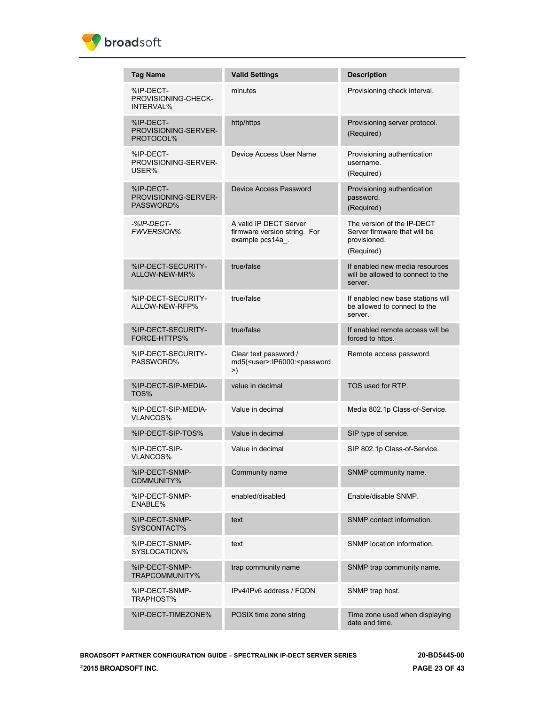

| <b>Tag Name</b>                                | <b>Valid Settings</b>                                                               | <b>Description</b>                                                                       |
|------------------------------------------------|-------------------------------------------------------------------------------------|------------------------------------------------------------------------------------------|
| %IP-DECT-<br>PROVISIONING-CHECK-<br>INTERVAL%  | minutes                                                                             | Provisioning check interval.                                                             |
| %IP-DECT-<br>PROVISIONING-SERVER-<br>PROTOCOL% | http/https                                                                          | Provisioning server protocol.<br>(Required)                                              |
| %IP-DECT-<br>PROVISIONING-SERVER-<br>USER%     | Device Access User Name                                                             | Provisioning authentication<br>username.<br>(Required)                                   |
| %IP-DECT-<br>PROVISIONING-SERVER-<br>PASSWORD% | Device Access Password                                                              | Provisioning authentication<br>password.<br>(Required)                                   |
| -%IP-DECT-<br><b>FWVERSION%</b>                | A valid IP DECT Server<br>firmware version string. For<br>example pcs14a_.          | The version of the IP-DECT<br>Server firmware that will be<br>provisioned.<br>(Required) |
| %IP-DECT-SECURITY-<br>ALLOW-NEW-MR%            | true/false                                                                          | If enabled new media resources<br>will be allowed to connect to the<br>server.           |
| %IP-DECT-SECURITY-<br>ALLOW-NEW-RFP%           | true/false                                                                          | If enabled new base stations will<br>be allowed to connect to the<br>server.             |
| %IP-DECT-SECURITY-<br><b>FORCE-HTTPS%</b>      | true/false                                                                          | If enabled remote access will be<br>forced to https.                                     |
| %IP-DECT-SECURITY-<br>PASSWORD%                | Clear text password /<br>md5( <user>:IP6000:<password<br>&gt;)</password<br></user> | Remote access password.                                                                  |
| %IP-DECT-SIP-MEDIA-<br>TOS%                    | value in decimal                                                                    | TOS used for RTP.                                                                        |
| %IP-DECT-SIP-MEDIA-<br><b>VLANCOS%</b>         | Value in decimal                                                                    | Media 802.1p Class-of-Service.                                                           |
| %IP-DECT-SIP-TOS%                              | Value in decimal                                                                    | SIP type of service.                                                                     |
| %IP-DECT-SIP-<br><b>VLANCOS%</b>               | Value in decimal                                                                    | SIP 802.1p Class-of-Service.                                                             |
| %IP-DECT-SNMP-<br>COMMUNITY%                   | Community name                                                                      | SNMP community name.                                                                     |
| %IP-DECT-SNMP-<br>ENABLE%                      | enabled/disabled                                                                    | Enable/disable SNMP.                                                                     |
| %IP-DECT-SNMP-<br>SYSCONTACT%                  | text                                                                                | SNMP contact information.                                                                |
| %IP-DECT-SNMP-<br>SYSLOCATION%                 | text                                                                                | SNMP location information.                                                               |
| %IP-DECT-SNMP-<br>TRAPCOMMUNITY%               | trap community name                                                                 | SNMP trap community name.                                                                |
| %IP-DECT-SNMP-<br>TRAPHOST%                    | IPv4/IPv6 address / FQDN                                                            | SNMP trap host.                                                                          |
| %IP-DECT-TIMEZONE%                             | POSIX time zone string                                                              | Time zone used when displaying<br>date and time.                                         |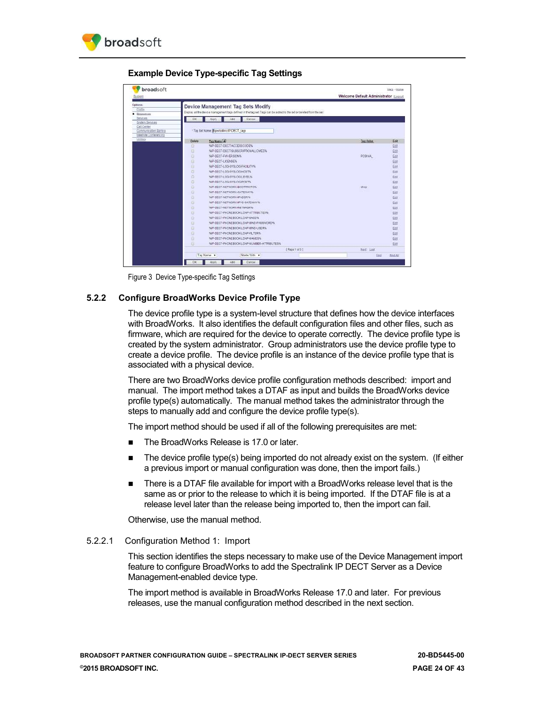

**Example Device Type-specific Tag Settings**



Figure 3 Device Type-specific Tag Settings

## <span id="page-23-1"></span><span id="page-23-0"></span>**5.2.2 Configure BroadWorks Device Profile Type**

The device profile type is a system-level structure that defines how the device interfaces with BroadWorks. It also identifies the default configuration files and other files, such as firmware, which are required for the device to operate correctly. The device profile type is created by the system administrator. Group administrators use the device profile type to create a device profile. The device profile is an instance of the device profile type that is associated with a physical device.

There are two BroadWorks device profile configuration methods described: import and manual. The import method takes a DTAF as input and builds the BroadWorks device profile type(s) automatically. The manual method takes the administrator through the steps to manually add and configure the device profile type(s).

The import method should be used if all of the following prerequisites are met:

- The BroadWorks Release is 17.0 or later.
- **The device profile type(s) being imported do not already exist on the system.** (If either a previous import or manual configuration was done, then the import fails.)
- **There is a DTAF file available for import with a BroadWorks release level that is the** same as or prior to the release to which it is being imported. If the DTAF file is at a release level later than the release being imported to, then the import can fail.

Otherwise, use the manual method.

### 5.2.2.1 Configuration Method 1: Import

This section identifies the steps necessary to make use of the Device Management import feature to configure BroadWorks to add the Spectralink IP DECT Server as a Device Management-enabled device type.

The import method is available in BroadWorks Release 17.0 and later. For previous releases, use the manual configuration method described in the next section.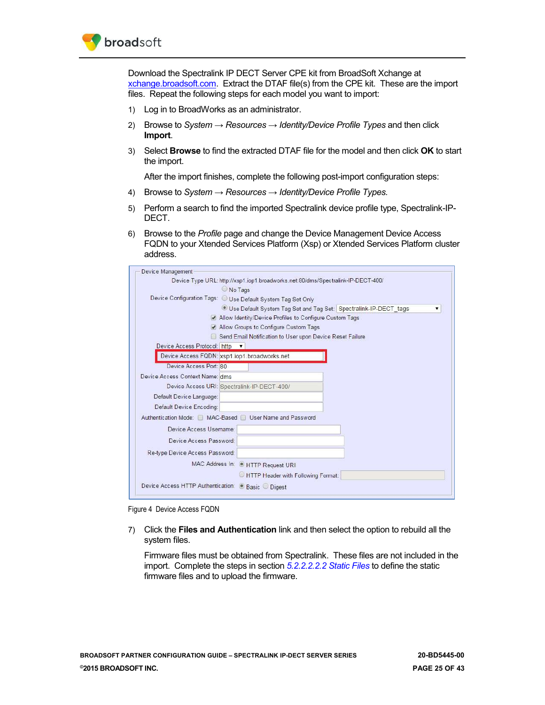

Download the Spectralink IP DECT Server CPE kit from BroadSoft Xchange at [xchange.broadsoft.com.](http://xchange.broadsoft.com/php/xchange/) Extract the DTAF file(s) from the CPE kit. These are the import files. Repeat the following steps for each model you want to import:

- 1) Log in to BroadWorks as an administrator.
- 2) Browse to *System → Resources → Identity/Device Profile Types* and then click **Import**.
- 3) Select **Browse** to find the extracted DTAF file for the model and then click **OK** to start the import.

After the import finishes, complete the following post-import configuration steps:

- 4) Browse to *System → Resources → Identity/Device Profile Types.*
- 5) Perform a search to find the imported Spectralink device profile type, Spectralink-IP-DECT.
- 6) Browse to the *Profile* page and change the Device Management Device Access FQDN to your Xtended Services Platform (Xsp) or Xtended Services Platform cluster address.

| Device Management               |                                                                                  |
|---------------------------------|----------------------------------------------------------------------------------|
|                                 | Device Type URL: http://xsp1.iop1.broadworks.net:80/dms/Spectralink-IP-DECT-400/ |
|                                 | No Tags                                                                          |
|                                 | Device Configuration Tags: O Use Default System Tag Set Only                     |
|                                 | Use Default System Tag Set and Tag Set: Spectralink-IP-DECT tags                 |
|                                 | Allow Identity/Device Profiles to Configure Custom Tags                          |
|                                 | Allow Groups to Configure Custom Tags                                            |
|                                 | Send Email Notification to User upon Device Reset Failure                        |
| Device Access Protocol: http v  |                                                                                  |
|                                 | Device Access FQDN: xsp1.iop1.broadworks.net                                     |
| Device Access Port: 80          |                                                                                  |
| Device Access Context Name: dms |                                                                                  |
|                                 | Device Access URI: Spectralink-IP-DECT-400/                                      |
| Default Device Language:        |                                                                                  |
| Default Device Encoding:        |                                                                                  |
|                                 | Authentication Mode: MAC-Based J User Name and Password                          |
| Device Access Username:         |                                                                                  |
| Device Access Password:         |                                                                                  |
|                                 |                                                                                  |
| Re-type Device Access Password: |                                                                                  |
|                                 | MAC Address In: @ HTTP Request URI                                               |
|                                 | HTTP Header with Following Format:                                               |
|                                 | Device Access HTTP Authentication: @ Basic O Digest                              |

<span id="page-24-0"></span>Figure 4 Device Access FQDN

7) Click the **Files and Authentication** link and then select the option to rebuild all the system files.

Firmware files must be obtained from Spectralink. These files are not included in the import. Complete the steps in section *[5.2.2.2.2.2](#page-30-1) [Static Files](#page-30-1)* to define the static firmware files and to upload the firmware.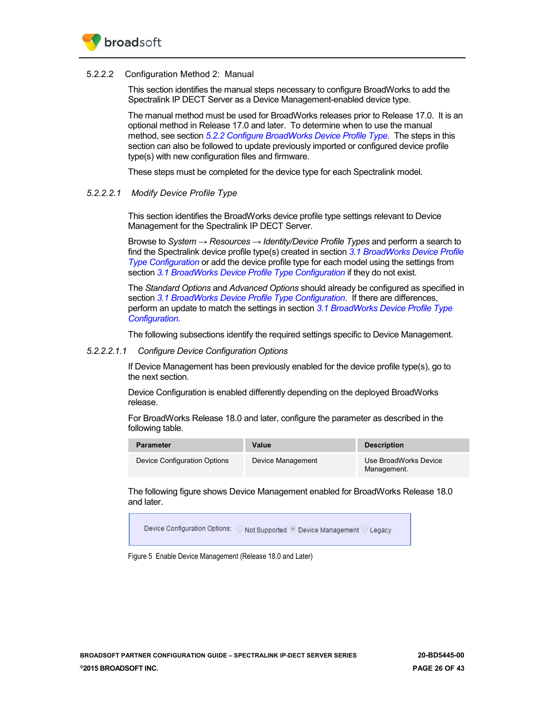

#### 5.2.2.2 Configuration Method 2: Manual

This section identifies the manual steps necessary to configure BroadWorks to add the Spectralink IP DECT Server as a Device Management-enabled device type.

The manual method must be used for BroadWorks releases prior to Release 17.0. It is an optional method in Release 17.0 and later. To determine when to use the manual method, see section *[5.2.2](#page-23-0) [Configure BroadWorks Device Profile Type](#page-23-0)*. The steps in this section can also be followed to update previously imported or configured device profile type(s) with new configuration files and firmware.

These steps must be completed for the device type for each Spectralink model.

### *5.2.2.2.1 Modify Device Profile Type*

This section identifies the BroadWorks device profile type settings relevant to Device Management for the Spectralink IP DECT Server.

Browse to *System → Resources → Identity/Device Profile Types* and perform a search to find the Spectralink device profile type(s) created in section *[3.1](#page-11-1) [BroadWorks Device Profile](#page-11-1)  [Type Configuration](#page-11-1)* or add the device profile type for each model using the settings from section *[3.1](#page-11-1) [BroadWorks Device Profile Type Configuration](#page-11-1)* if they do not exist.

The *Standard Options* and *Advanced Options* should already be configured as specified in section *[3.1](#page-11-1) [BroadWorks Device Profile Type Configuration](#page-11-1)*. If there are differences, perform an update to match the settings in section *[3.1](#page-11-1) [BroadWorks Device Profile Type](#page-11-1)  [Configuration](#page-11-1)*.

The following subsections identify the required settings specific to Device Management.

#### *5.2.2.2.1.1 Configure Device Configuration Options*

If Device Management has been previously enabled for the device profile type(s), go to the next section.

Device Configuration is enabled differently depending on the deployed BroadWorks release.

For BroadWorks Release 18.0 and later, configure the parameter as described in the following table.

| <b>Parameter</b>             | <b>Value</b>      | <b>Description</b>                   |
|------------------------------|-------------------|--------------------------------------|
| Device Configuration Options | Device Management | Use BroadWorks Device<br>Management. |

The following figure shows Device Management enabled for BroadWorks Release 18.0 and later.



<span id="page-25-0"></span>Figure 5 Enable Device Management (Release 18.0 and Later)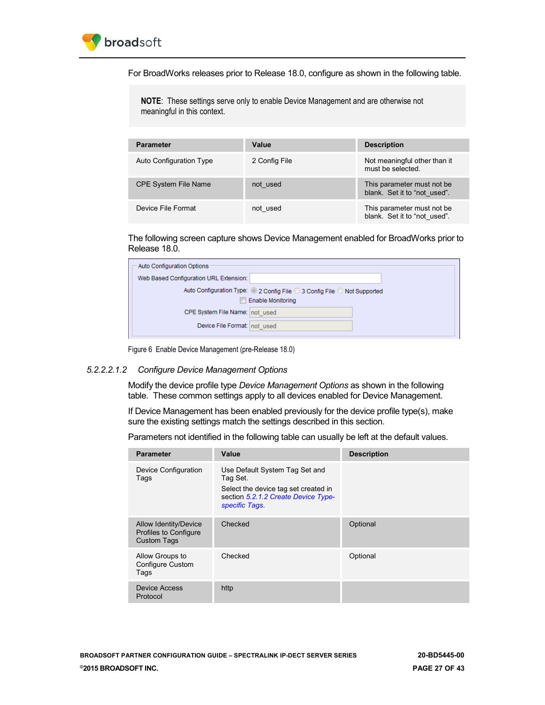

For BroadWorks releases prior to Release 18.0, configure as shown in the following table.

**NOTE**: These settings serve only to enable Device Management and are otherwise not meaningful in this context.

| <b>Parameter</b>            | Value         | <b>Description</b>                                          |
|-----------------------------|---------------|-------------------------------------------------------------|
| Auto Configuration Type     | 2 Config File | Not meaningful other than it<br>must be selected.           |
| <b>CPE System File Name</b> | not used      | This parameter must not be.<br>blank. Set it to "not used". |
| Device File Format          | not used      | This parameter must not be<br>blank. Set it to "not used".  |

The following screen capture shows Device Management enabled for BroadWorks prior to Release 18.0.

| Auto Configuration Options             |                                                                                                |
|----------------------------------------|------------------------------------------------------------------------------------------------|
| Web Based Configuration URL Extension: |                                                                                                |
|                                        | Auto Configuration Type: 2 Config File 3 Config File Not Supported<br><b>Enable Monitoring</b> |
| CPE System File Name: not used         |                                                                                                |
| Device File Format: not used           |                                                                                                |

Figure 6 Enable Device Management (pre-Release 18.0)

#### <span id="page-26-0"></span>*5.2.2.2.1.2 Configure Device Management Options*

Modify the device profile type *Device Management Options* as shown in the following table. These common settings apply to all devices enabled for Device Management.

If Device Management has been enabled previously for the device profile type(s), make sure the existing settings match the settings described in this section.

Parameters not identified in the following table can usually be left at the default values.

| <b>Parameter</b>                                                     | Value                                                                                                                                      | <b>Description</b> |
|----------------------------------------------------------------------|--------------------------------------------------------------------------------------------------------------------------------------------|--------------------|
| Device Configuration<br>Tags                                         | Use Default System Tag Set and<br>Tag Set.<br>Select the device tag set created in<br>section 5.2.1.2 Create Device Type-<br>specific Tags |                    |
| Allow Identity/Device<br>Profiles to Configure<br><b>Custom Tags</b> | Checked                                                                                                                                    | Optional           |
| Allow Groups to<br><b>Configure Custom</b><br>Tags                   | Checked                                                                                                                                    | Optional           |
| Device Access<br>Protocol                                            | http                                                                                                                                       |                    |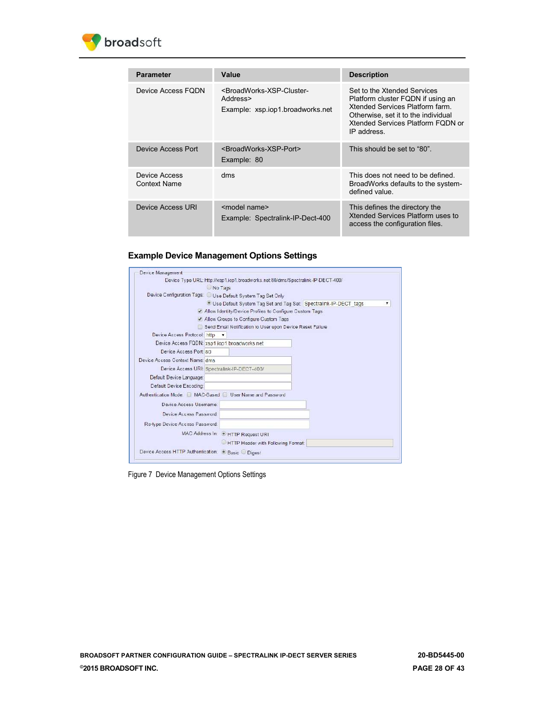

| <b>Parameter</b>                     | Value                                                                                                     | <b>Description</b>                                                                                                                                                                            |
|--------------------------------------|-----------------------------------------------------------------------------------------------------------|-----------------------------------------------------------------------------------------------------------------------------------------------------------------------------------------------|
| Device Access FODN                   | <broadworks-xsp-cluster-<br>Address&gt;<br/>Example: xsp.iop1.broadworks.net</broadworks-xsp-cluster-<br> | Set to the Xtended Services<br>Platform cluster FQDN if using an<br>Xtended Services Platform farm<br>Otherwise, set it to the individual<br>Xtended Services Platform FODN or<br>IP address. |
| <b>Device Access Port</b>            | <broadworks-xsp-port><br/>Example: 80</broadworks-xsp-port>                                               | This should be set to "80".                                                                                                                                                                   |
| Device Access<br><b>Context Name</b> | dms                                                                                                       | This does not need to be defined.<br>BroadWorks defaults to the system-<br>defined value.                                                                                                     |
| Device Access URI                    | <model name=""><br/>Example: Spectralink-IP-Dect-400</model>                                              | This defines the directory the<br>Xtended Services Platform uses to<br>access the configuration files.                                                                                        |

#### **Example Device Management Options Settings**



<span id="page-27-0"></span>Figure 7 Device Management Options Settings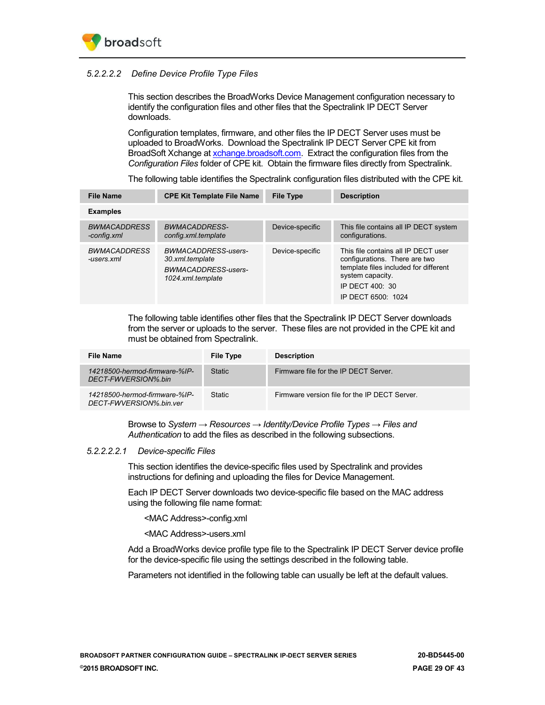## *5.2.2.2.2 Define Device Profile Type Files*

This section describes the BroadWorks Device Management configuration necessary to identify the configuration files and other files that the Spectralink IP DECT Server downloads.

Configuration templates, firmware, and other files the IP DECT Server uses must be uploaded to BroadWorks. Download the Spectralink IP DECT Server CPE kit from BroadSoft Xchange at [xchange.broadsoft.com.](http://xchange.broadsoft.com/php/xchange/) Extract the configuration files from the *Configuration Files* folder of CPE kit. Obtain the firmware files directly from Spectralink.

The following table identifies the Spectralink configuration files distributed with the CPE kit.

| <b>File Name</b>                   | <b>CPE Kit Template File Name</b>                                                  | <b>File Type</b> | <b>Description</b>                                                                                                                                                         |  |
|------------------------------------|------------------------------------------------------------------------------------|------------------|----------------------------------------------------------------------------------------------------------------------------------------------------------------------------|--|
| <b>Examples</b>                    |                                                                                    |                  |                                                                                                                                                                            |  |
| <b>BWMACADDRESS</b><br>-config.xml | BWMACADDRESS-<br>config.xml.template                                               | Device-specific  | This file contains all IP DECT system<br>configurations.                                                                                                                   |  |
| <b>BWMACADDRESS</b><br>-users.xml  | BWMACADDRESS-users-<br>30.xml.template<br>BWMACADDRESS-users-<br>1024.xml.template | Device-specific  | This file contains all IP DECT user<br>configurations. There are two<br>template files included for different<br>system capacity.<br>IP DECT 400: 30<br>IP DECT 6500: 1024 |  |

The following table identifies other files that the Spectralink IP DECT Server downloads from the server or uploads to the server. These files are not provided in the CPE kit and must be obtained from Spectralink.

| File Name                                                | <b>File Type</b> | <b>Description</b>                            |
|----------------------------------------------------------|------------------|-----------------------------------------------|
| 14218500-hermod-firmware-%IP-<br>DECT-FWVERSION%.bin     | <b>Static</b>    | Firmware file for the IP DECT Server.         |
| 14218500-hermod-firmware-%IP-<br>DECT-FWVERSION%.bin.ver | <b>Static</b>    | Firmware version file for the IP DECT Server. |

Browse to *System → Resources → Identity/Device Profile Types → Files and Authentication* to add the files as described in the following subsections.

### *5.2.2.2.2.1 Device-specific Files*

This section identifies the device-specific files used by Spectralink and provides instructions for defining and uploading the files for Device Management.

Each IP DECT Server downloads two device-specific file based on the MAC address using the following file name format:

<MAC Address>-config.xml

<MAC Address>-users.xml

Add a BroadWorks device profile type file to the Spectralink IP DECT Server device profile for the device-specific file using the settings described in the following table.

Parameters not identified in the following table can usually be left at the default values.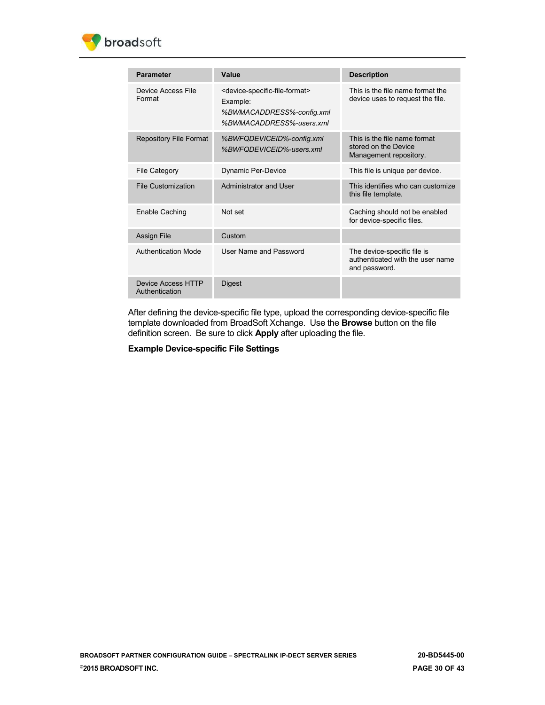

| <b>Parameter</b>                     | Value                                                                                                                               | <b>Description</b>                                                               |
|--------------------------------------|-------------------------------------------------------------------------------------------------------------------------------------|----------------------------------------------------------------------------------|
| Device Access File<br>Format         | <device-specific-file-format><br/>Example:<br/>%BWMACADDRESS%-config.xml<br/>%BWMACADDRESS%-users.xml</device-specific-file-format> | This is the file name format the<br>device uses to request the file.             |
| <b>Repository File Format</b>        | %BWFQDEVICEID%-config.xml<br>%BWFQDEVICEID%-users.xml                                                                               | This is the file name format<br>stored on the Device<br>Management repository.   |
| File Category                        | Dynamic Per-Device                                                                                                                  | This file is unique per device.                                                  |
| File Customization                   | Administrator and User                                                                                                              | This identifies who can customize<br>this file template.                         |
| Enable Caching                       | Not set                                                                                                                             | Caching should not be enabled<br>for device-specific files.                      |
| Assign File                          | Custom                                                                                                                              |                                                                                  |
| Authentication Mode                  | User Name and Password                                                                                                              | The device-specific file is<br>authenticated with the user name<br>and password. |
| Device Access HTTP<br>Authentication | <b>Digest</b>                                                                                                                       |                                                                                  |

After defining the device-specific file type, upload the corresponding device-specific file template downloaded from BroadSoft Xchange. Use the **Browse** button on the file definition screen. Be sure to click **Apply** after uploading the file.

**Example Device-specific File Settings**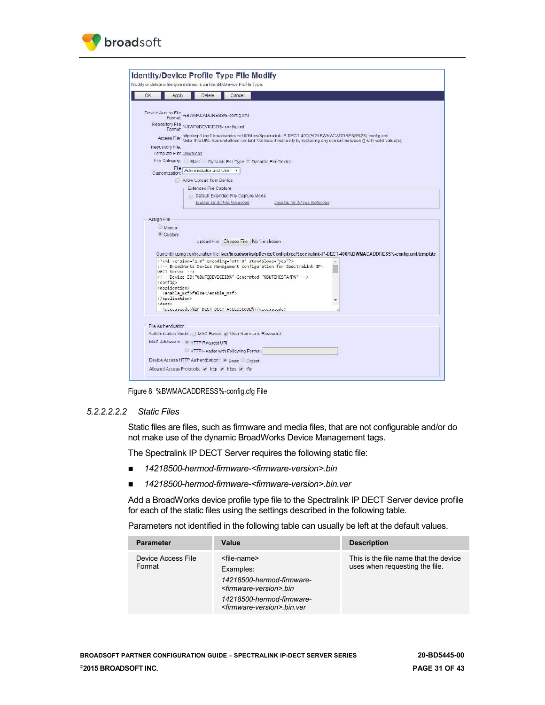

|             | Apply                                                                             | Delete                             | Cancel                                                     |                                                                                                                                                                                                                                 |  |  |  |  |  |
|-------------|-----------------------------------------------------------------------------------|------------------------------------|------------------------------------------------------------|---------------------------------------------------------------------------------------------------------------------------------------------------------------------------------------------------------------------------------|--|--|--|--|--|
|             |                                                                                   |                                    |                                                            |                                                                                                                                                                                                                                 |  |  |  |  |  |
|             | Device Access File %BWMACADDRESS%-config.xml<br>Format: %BWMACADDRESS%-config.xml |                                    |                                                            |                                                                                                                                                                                                                                 |  |  |  |  |  |
|             | Repository File %BWFQDEVICEID%-config.xml<br>Format:                              |                                    |                                                            |                                                                                                                                                                                                                                 |  |  |  |  |  |
|             |                                                                                   |                                    |                                                            | Access File: http://xsp1.jop1.broadworks.net80/dms/Spectralink-IP-DECT-400/(%25BWMACADDRESS%25)-config.xml<br>Note this URL has undefined content Validale it manually by replacing any content between () with valid value(s). |  |  |  |  |  |
|             | Repository File:                                                                  |                                    |                                                            |                                                                                                                                                                                                                                 |  |  |  |  |  |
|             | Template File: Download                                                           |                                    |                                                            |                                                                                                                                                                                                                                 |  |  |  |  |  |
|             |                                                                                   |                                    | File Category: Static Dynamic Per-Type "Dynamic Per-Device |                                                                                                                                                                                                                                 |  |  |  |  |  |
|             | File<br>Customization:                                                            | Administrator and User             |                                                            |                                                                                                                                                                                                                                 |  |  |  |  |  |
|             |                                                                                   | Allow Upload from Device           |                                                            |                                                                                                                                                                                                                                 |  |  |  |  |  |
|             |                                                                                   | Extended File Capture              |                                                            |                                                                                                                                                                                                                                 |  |  |  |  |  |
|             |                                                                                   |                                    | Default Extended File Capture Mode                         |                                                                                                                                                                                                                                 |  |  |  |  |  |
|             |                                                                                   |                                    | Enable for All File Instances                              | Disable for All File Instances                                                                                                                                                                                                  |  |  |  |  |  |
|             |                                                                                   |                                    |                                                            |                                                                                                                                                                                                                                 |  |  |  |  |  |
| Assign File |                                                                                   |                                    |                                                            |                                                                                                                                                                                                                                 |  |  |  |  |  |
|             | Manual                                                                            |                                    |                                                            |                                                                                                                                                                                                                                 |  |  |  |  |  |
|             | <sup>®</sup> Custom                                                               |                                    |                                                            |                                                                                                                                                                                                                                 |  |  |  |  |  |
|             |                                                                                   |                                    | Upload File: Choose File   No file chosen                  |                                                                                                                                                                                                                                 |  |  |  |  |  |
|             |                                                                                   |                                    |                                                            |                                                                                                                                                                                                                                 |  |  |  |  |  |
|             |                                                                                   |                                    |                                                            | Currently using configuration file: /var/broadworks/lpDeviceConfig/type/Spectralink-IP-DECT-400/%BWMACADDRESS%-config.xml.template                                                                                              |  |  |  |  |  |
|             |                                                                                   |                                    | xml version="1.0" encoding="UTF-8" standalone="yes"?       | BroadWorks Device Management configuration for Spectralink IP-</td><td></td><td></td></tr><tr><td></td><td>DECT Server                                                                                                          |  |  |  |  |  |
|             |                                                                                   |                                    |                                                            | Device ID: "%BWFQDEVICEID%" Generated: "%BWTIMESTAMP%"                                                                                                                                                                          |  |  |  |  |  |
|             | <config><br/><application></application></config>                                 |                                    |                                                            |                                                                                                                                                                                                                                 |  |  |  |  |  |
|             | <enable msf="">false</enable>                                                     |                                    |                                                            |                                                                                                                                                                                                                                 |  |  |  |  |  |
|             | <br><dect></dect>                                                                 |                                    |                                                            |                                                                                                                                                                                                                                 |  |  |  |  |  |
|             |                                                                                   |                                    |                                                            |                                                                                                                                                                                                                                 |  |  |  |  |  |
|             |                                                                                   |                                    |                                                            |                                                                                                                                                                                                                                 |  |  |  |  |  |
|             | File Authentication                                                               |                                    |                                                            |                                                                                                                                                                                                                                 |  |  |  |  |  |
|             |                                                                                   |                                    | Authentication Mode: MAC-Based v User Name and Password    |                                                                                                                                                                                                                                 |  |  |  |  |  |
|             |                                                                                   | MAC Address In: @ HTTP Request URI |                                                            |                                                                                                                                                                                                                                 |  |  |  |  |  |
|             |                                                                                   |                                    |                                                            |                                                                                                                                                                                                                                 |  |  |  |  |  |
|             |                                                                                   |                                    | HTTP Header with Following Format:                         |                                                                                                                                                                                                                                 |  |  |  |  |  |

Figure 8 %BWMACADDRESS%-config.cfg File

### <span id="page-30-1"></span><span id="page-30-0"></span>*5.2.2.2.2.2 Static Files*

Static files are files, such as firmware and media files, that are not configurable and/or do not make use of the dynamic BroadWorks Device Management tags.

The Spectralink IP DECT Server requires the following static file:

- *14218500-hermod-firmware-<firmware-version>.bin*
- *14218500-hermod-firmware-<firmware-version>.bin.ver*

Add a BroadWorks device profile type file to the Spectralink IP DECT Server device profile for each of the static files using the settings described in the following table.

Parameters not identified in the following table can usually be left at the default values.

| <b>Parameter</b>             | Value                                                                                                                                                                                             | <b>Description</b>                                                      |
|------------------------------|---------------------------------------------------------------------------------------------------------------------------------------------------------------------------------------------------|-------------------------------------------------------------------------|
| Device Access File<br>Format | <file-name><br/>Examples:<br/>14218500-hermod-firmware-<br/><firmware-version>.bin<br/>14218500-hermod-firmware-<br/><firmware-version>.bin.ver</firmware-version></firmware-version></file-name> | This is the file name that the device<br>uses when requesting the file. |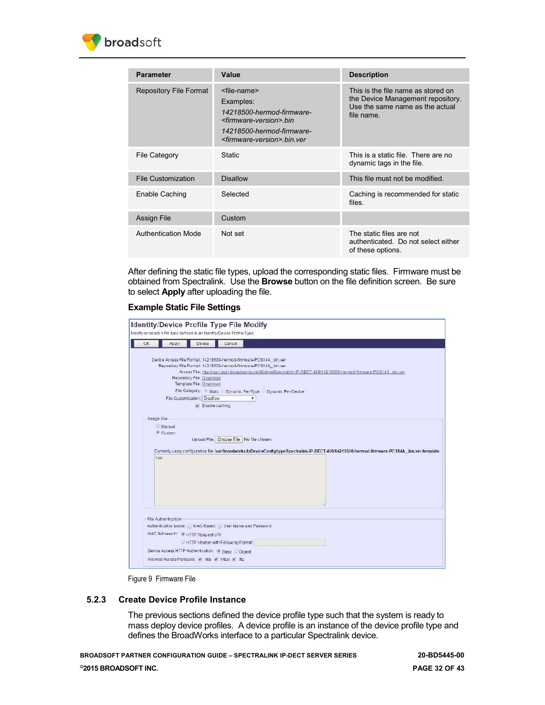

| <b>Parameter</b>              | Value                                                                                                                                                                                             | <b>Description</b>                                                                                                       |
|-------------------------------|---------------------------------------------------------------------------------------------------------------------------------------------------------------------------------------------------|--------------------------------------------------------------------------------------------------------------------------|
| <b>Repository File Format</b> | <file-name><br/>Examples:<br/>14218500-hermod-firmware-<br/><firmware-version>.bin<br/>14218500-hermod-firmware-<br/><firmware-version>.bin.ver</firmware-version></firmware-version></file-name> | This is the file name as stored on<br>the Device Management repository.<br>Use the same name as the actual<br>file name. |
| <b>File Category</b>          | Static                                                                                                                                                                                            | This is a static file. There are no<br>dynamic tags in the file.                                                         |
| <b>File Customization</b>     | <b>Disallow</b>                                                                                                                                                                                   | This file must not be modified.                                                                                          |
| Enable Caching                | Selected                                                                                                                                                                                          | Caching is recommended for static<br>files.                                                                              |
| <b>Assign File</b>            | Custom                                                                                                                                                                                            |                                                                                                                          |
| <b>Authentication Mode</b>    | Not set                                                                                                                                                                                           | The static files are not<br>authenticated. Do not select either<br>of these options.                                     |

After defining the static file types, upload the corresponding static files. Firmware must be obtained from Spectralink. Use the **Browse** button on the file definition screen. Be sure to select **Apply** after uploading the file.

#### **Example Static File Settings**

| Device Access File Format: 14218500-hermod-firmware-PCS14A .bin.ver<br>Repository File Format: 14218500-hermod-firmware-PCS14A .bin.ver<br>Access File: http://xsp1.iop1.broadworks.net.80/dms/Spectralink-IP-DECT-400/14218500-hermod-firmware-PCS14A_bin.yer<br>Repository File: Download<br>Template File: Download<br>File Category. . Static Dynamic Per-Type Dynamic Per-Device<br>File Customization: Disallow<br>۰<br>C Enable caching<br>Assign File<br>Manual<br><sup>®</sup> Custom<br>Upload File: Choose File   No file chosen<br>Currently using configuration file: /var/broadworks/lpDeviceConfig/type/Spectralink-IP-DECT-400/14218500-hermod-firmware-PCS14A_.bin.ver.template<br>TBD<br>File Authentication<br>Authentication Mode: MAC-Based   User Name and Password<br>MAC Address In: @ HTTP Request URI<br>HTTP Header with Following Format: | <b>OK</b> | Apply | Delete | Cancel                                            |  |  |
|-----------------------------------------------------------------------------------------------------------------------------------------------------------------------------------------------------------------------------------------------------------------------------------------------------------------------------------------------------------------------------------------------------------------------------------------------------------------------------------------------------------------------------------------------------------------------------------------------------------------------------------------------------------------------------------------------------------------------------------------------------------------------------------------------------------------------------------------------------------------------|-----------|-------|--------|---------------------------------------------------|--|--|
|                                                                                                                                                                                                                                                                                                                                                                                                                                                                                                                                                                                                                                                                                                                                                                                                                                                                       |           |       |        |                                                   |  |  |
|                                                                                                                                                                                                                                                                                                                                                                                                                                                                                                                                                                                                                                                                                                                                                                                                                                                                       |           |       |        |                                                   |  |  |
|                                                                                                                                                                                                                                                                                                                                                                                                                                                                                                                                                                                                                                                                                                                                                                                                                                                                       |           |       |        |                                                   |  |  |
|                                                                                                                                                                                                                                                                                                                                                                                                                                                                                                                                                                                                                                                                                                                                                                                                                                                                       |           |       |        |                                                   |  |  |
|                                                                                                                                                                                                                                                                                                                                                                                                                                                                                                                                                                                                                                                                                                                                                                                                                                                                       |           |       |        |                                                   |  |  |
|                                                                                                                                                                                                                                                                                                                                                                                                                                                                                                                                                                                                                                                                                                                                                                                                                                                                       |           |       |        |                                                   |  |  |
|                                                                                                                                                                                                                                                                                                                                                                                                                                                                                                                                                                                                                                                                                                                                                                                                                                                                       |           |       |        |                                                   |  |  |
|                                                                                                                                                                                                                                                                                                                                                                                                                                                                                                                                                                                                                                                                                                                                                                                                                                                                       |           |       |        |                                                   |  |  |
|                                                                                                                                                                                                                                                                                                                                                                                                                                                                                                                                                                                                                                                                                                                                                                                                                                                                       |           |       |        | Device Access HTTP Authentication. @ Basic Digest |  |  |

Figure 9 Firmware File

### <span id="page-31-1"></span><span id="page-31-0"></span>**5.2.3 Create Device Profile Instance**

The previous sections defined the device profile type such that the system is ready to mass deploy device profiles. A device profile is an instance of the device profile type and defines the BroadWorks interface to a particular Spectralink device.

**BROADSOFT PARTNER CONFIGURATION GUIDE – SPECTRALINK IP-DECT SERVER SERIES 20-BD5445-00 ©2015 BROADSOFT INC. PAGE 32 OF 43**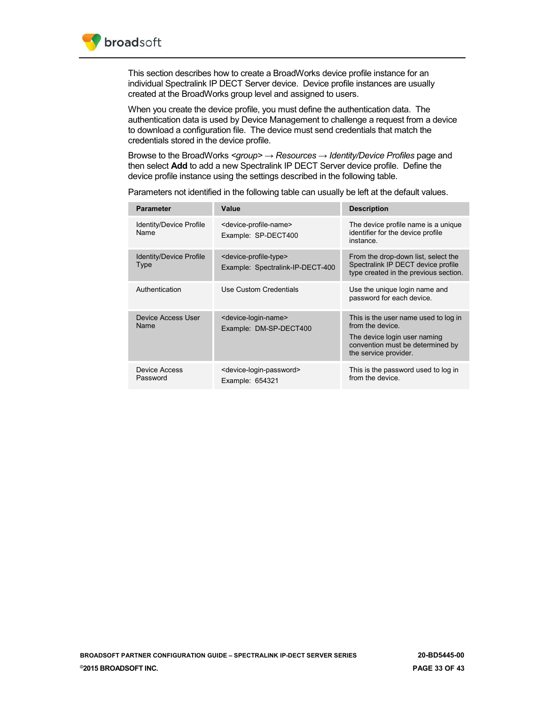

This section describes how to create a BroadWorks device profile instance for an individual Spectralink IP DECT Server device. Device profile instances are usually created at the BroadWorks group level and assigned to users.

When you create the device profile, you must define the authentication data. The authentication data is used by Device Management to challenge a request from a device to download a configuration file. The device must send credentials that match the credentials stored in the device profile.

Browse to the BroadWorks *<group> → Resources → Identity/Device Profiles* page and then select **Add** to add a new Spectralink IP DECT Server device profile. Define the device profile instance using the settings described in the following table.

| <b>Parameter</b>                       | Value                                                                            | <b>Description</b>                                                                                                                                    |
|----------------------------------------|----------------------------------------------------------------------------------|-------------------------------------------------------------------------------------------------------------------------------------------------------|
| Identity/Device Profile<br><b>Name</b> | <device-profile-name><br/>Example: SP-DECT400</device-profile-name>              | The device profile name is a unique<br>identifier for the device profile<br>instance.                                                                 |
| Identity/Device Profile<br>Type        | <device-profile-type><br/>Example: Spectralink-IP-DECT-400</device-profile-type> | From the drop-down list, select the<br>Spectralink IP DECT device profile<br>type created in the previous section.                                    |
| Authentication                         | Use Custom Credentials                                                           | Use the unique login name and<br>password for each device.                                                                                            |
| Device Access User<br>Name             | <device-login-name><br/>Example: DM-SP-DECT400</device-login-name>               | This is the user name used to log in<br>from the device.<br>The device login user naming<br>convention must be determined by<br>the service provider. |
| Device Access<br>Password              | <device-login-password><br/>Example: 654321</device-login-password>              | This is the password used to log in<br>from the device                                                                                                |

Parameters not identified in the following table can usually be left at the default values.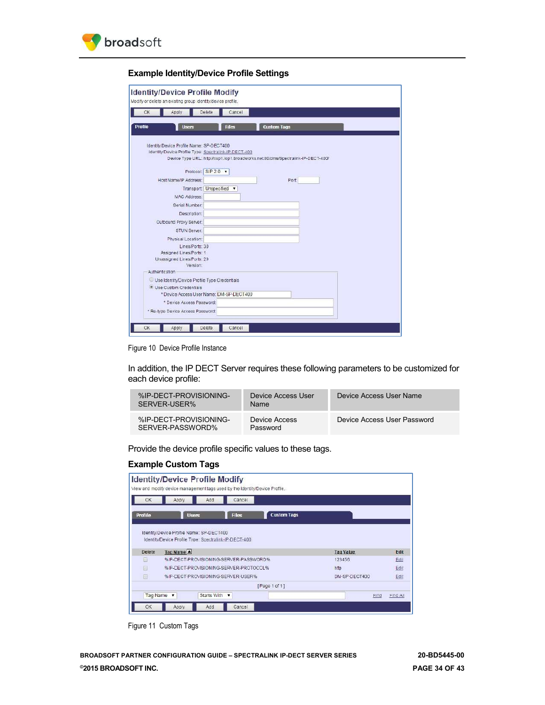

## **Example Identity/Device Profile Settings**

| OK             | Apply                                        | Detete                     | Cancel                                                |                                                                                  |  |
|----------------|----------------------------------------------|----------------------------|-------------------------------------------------------|----------------------------------------------------------------------------------|--|
| <b>Profile</b> | <b>Users</b>                                 |                            | <b>H</b> les                                          | <b>Custom Tags</b>                                                               |  |
|                | Identity/Device Profile Name: SP-DECT400     |                            | Identity/Device Profile Type: Spectralink-IP-DECT-400 | Device Type URL: http://xsp1.iop1.broadworks.net:80/dms/Spectralink-IP-DECT-400/ |  |
|                | Host Name/IP Address:                        | Protocol SIP 2.0 $\bullet$ |                                                       | Port                                                                             |  |
|                |                                              | Transport: Unspecified     |                                                       |                                                                                  |  |
|                | <b>MAC Address:</b>                          |                            |                                                       |                                                                                  |  |
|                | Serial Number:                               |                            |                                                       |                                                                                  |  |
|                | Description:                                 |                            |                                                       |                                                                                  |  |
|                | Outbound Proxy Server:                       |                            |                                                       |                                                                                  |  |
|                | STUN Server:                                 |                            |                                                       |                                                                                  |  |
|                | Physical Location:                           |                            |                                                       |                                                                                  |  |
|                |                                              | Lines/Ports: 30            |                                                       |                                                                                  |  |
|                | Assigned Lines/Ports: 1                      |                            |                                                       |                                                                                  |  |
|                | Unassigned Lines/Ports: 29                   | Version:                   |                                                       |                                                                                  |  |
|                | Authentication                               |                            |                                                       |                                                                                  |  |
|                | Use Identity/Device Profile Type Credentials |                            |                                                       |                                                                                  |  |
|                | · Use Custom Credentials                     |                            |                                                       |                                                                                  |  |
|                |                                              |                            | * Device Access User Name: DM-SP-DECT400              |                                                                                  |  |
|                |                                              | * Device Access Password:  |                                                       |                                                                                  |  |

<span id="page-33-0"></span>Figure 10 Device Profile Instance

In addition, the IP DECT Server requires these following parameters to be customized for each device profile:

| %IP-DECT-PROVISIONING-<br>SERVER-USER%     | Device Access User<br>Name | Device Access User Name     |
|--------------------------------------------|----------------------------|-----------------------------|
| %IP-DECT-PROVISIONING-<br>SERVER-PASSWORD% | Device Access<br>Password  | Device Access User Password |

Provide the device profile specific values to these tags.

## **Example Custom Tags**

| OK         | Cancel<br>Add<br>Apply                                              |                          |
|------------|---------------------------------------------------------------------|--------------------------|
| Profile    | <b>Files</b><br><b>Custom Tags</b><br><b>Users</b>                  |                          |
|            |                                                                     |                          |
| Delete     | Identity/Device Profile Type: Spectralink-IP-DECT-400<br>Tag Name A | <b>Tag Value</b><br>Edit |
| <b>Ist</b> | %IP-DECT-PROVISIONING-SERVER-PASSWORD%                              | 123456<br>Edit           |
| 回          | %IP-DECT-PROVISIONING-SERVER-PROTOCOL%                              | Edit<br>http             |
| Ġ          | %IP-DECT-PROVISIONING-SERVER-USER%.                                 | Edit<br>DM-SP-DECT400    |
|            |                                                                     |                          |
| Tag Name   | [Page 1 of 1]<br>Starts With v<br>$\overline{\mathbf{v}}$           | Find<br>Find All         |

<span id="page-33-1"></span>Figure 11 Custom Tags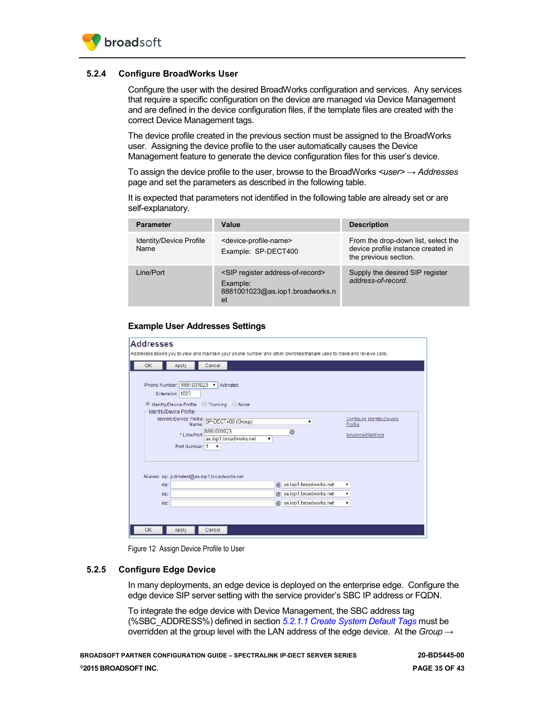

### <span id="page-34-0"></span>**5.2.4 Configure BroadWorks User**

Configure the user with the desired BroadWorks configuration and services. Any services that require a specific configuration on the device are managed via Device Management and are defined in the device configuration files, if the template files are created with the correct Device Management tags.

The device profile created in the previous section must be assigned to the BroadWorks user. Assigning the device profile to the user automatically causes the Device Management feature to generate the device configuration files for this user's device.

To assign the device profile to the user, browse to the BroadWorks *<user> → Addresses*  page and set the parameters as described in the following table.

It is expected that parameters not identified in the following table are already set or are self-explanatory.

| <b>Parameter</b>                | Value                                                                                                | <b>Description</b>                                                                                 |
|---------------------------------|------------------------------------------------------------------------------------------------------|----------------------------------------------------------------------------------------------------|
| Identity/Device Profile<br>Name | <device-profile-name><br/>Example: SP-DECT400</device-profile-name>                                  | From the drop-down list, select the<br>device profile instance created in<br>the previous section. |
| Line/Port                       | <sip address-of-record="" register=""><br/>Example:<br/>8881001023@as.iop1.broadworks.n<br/>et</sip> | Supply the desired SIP register<br>address-of-record.                                              |

#### **Example User Addresses Settings**

| CK   | Apply                  | Cancel                                         |                          |                                      |
|------|------------------------|------------------------------------------------|--------------------------|--------------------------------------|
|      |                        | Phone Number: 8881001023   Activated           |                          |                                      |
|      | Extension: 1023        |                                                |                          |                                      |
|      |                        | O Identity/Device Profile C Trunking C None    |                          |                                      |
|      | Identty/Device Profile |                                                |                          |                                      |
|      |                        | Identity/Device Profile SP-DECT400 (Group)     | ۰                        | Configure Identity/Device<br>Profile |
|      |                        | *Line/Port 8881001023                          | $^{\circ}$               | AdvancedSettings                     |
|      |                        | as.iop1.broadworks.net                         | ▼                        |                                      |
|      | Port Number: 1         | $\pmb{\mathrm{v}}$                             |                          |                                      |
|      |                        |                                                |                          |                                      |
|      |                        |                                                |                          |                                      |
|      |                        | Aliases: sip: jcdmstest@as.iop1.broadworks.net |                          |                                      |
| sip: |                        |                                                | @ as.iop1.broadworks.net | ۰                                    |
|      |                        |                                                | @ as.iop1.broadworks.net | ٠                                    |
| sip. |                        |                                                | @ as.iop1.broadworks.net | $\pmb{\mathrm{v}}$                   |
| sip: |                        |                                                |                          |                                      |

Figure 12 Assign Device Profile to User

#### <span id="page-34-2"></span><span id="page-34-1"></span>**5.2.5 Configure Edge Device**

In many deployments, an edge device is deployed on the enterprise edge. Configure the edge device SIP server setting with the service provider's SBC IP address or FQDN.

To integrate the edge device with Device Management, the SBC address tag (%SBC\_ADDRESS%) defined in section *[5.2.1.1](#page-19-2) [Create System Default Tags](#page-19-2)* must be overridden at the group level with the LAN address of the edge device. At the *Group →*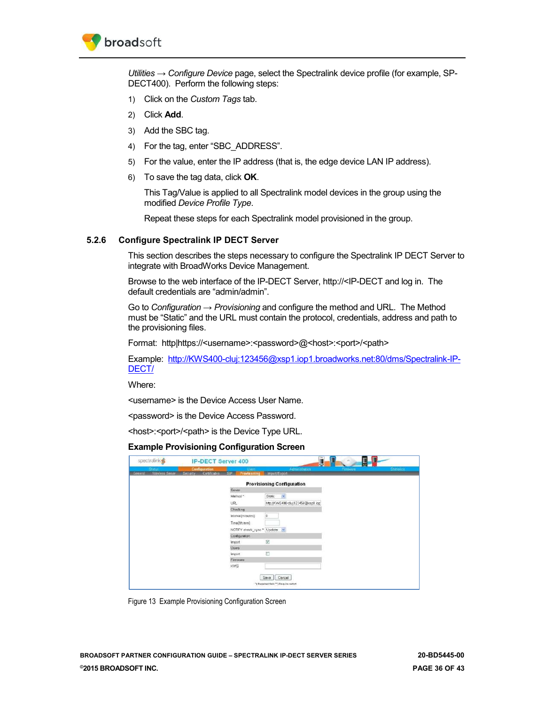

*Utilities → Configure Device* page, select the Spectralink device profile (for example, SP-DECT400). Perform the following steps:

- 1) Click on the *Custom Tags* tab.
- 2) Click **Add**.
- 3) Add the SBC tag.
- 4) For the tag, enter "SBC\_ADDRESS".
- 5) For the value, enter the IP address (that is, the edge device LAN IP address).
- 6) To save the tag data, click **OK**.

This Tag/Value is applied to all Spectralink model devices in the group using the modified *Device Profile Type*.

Repeat these steps for each Spectralink model provisioned in the group.

#### <span id="page-35-0"></span>**5.2.6 Configure Spectralink IP DECT Server**

This section describes the steps necessary to configure the Spectralink IP DECT Server to integrate with BroadWorks Device Management.

Browse to the web interface of the IP-DECT Server, http://<IP-DECT and log in. The default credentials are "admin/admin".

Go to *Configuration → Provisioning* and configure the method and URL. The Method must be "Static" and the URL must contain the protocol, credentials, address and path to the provisioning files.

Format: http|https://<username>:<password>@<host>:<port>/<path>

Example: [http://KWS400-cluj:123456@xsp1.iop1.broadworks.net:80/dms/Spectralink-IP-](http://KWS400-cluj:123456@xsp1.iop1.broadworks.net:80/dms/Spectralink-IP-DECT/)[DECT/](http://KWS400-cluj:123456@xsp1.iop1.broadworks.net:80/dms/Spectralink-IP-DECT/)

Where:

<username> is the Device Access User Name.

<password> is the Device Access Password.

<host>:<port>/<path> is the Device Type URL.

#### **Example Provisioning Configuration Screen**

| spectralink                                    | <b>IP-DECT Server 400</b>                        |                                           |                                                        | Ξ<br>$\sim$<br>Н | <b>D</b>    |
|------------------------------------------------|--------------------------------------------------|-------------------------------------------|--------------------------------------------------------|------------------|-------------|
| Diatus.<br><b>Vygeless Service</b><br>General: | <b>Configuration</b><br>Certificates<br>Бесницу. | Users.<br>Provisioning<br>SP <sub>1</sub> | Acministration<br>Import/Export                        | Firmware         | Statistice: |
|                                                |                                                  |                                           | <b>Provisioning Configuration</b>                      |                  |             |
|                                                |                                                  | Server                                    |                                                        |                  |             |
|                                                |                                                  | Method*                                   | Static                                                 |                  |             |
|                                                |                                                  | URL.                                      | http://KWS400-cluj123456@xsp1.iog                      |                  |             |
|                                                |                                                  | Checking                                  |                                                        |                  |             |
|                                                |                                                  | Interval(minutes)                         | ū                                                      |                  |             |
|                                                |                                                  | Time(hh:mm)                               |                                                        |                  |             |
|                                                |                                                  | NOTIFY check_sync* Update w               |                                                        |                  |             |
|                                                |                                                  | Configuration                             |                                                        |                  |             |
|                                                |                                                  | Import                                    | $\boxed{\omega}$                                       |                  |             |
|                                                |                                                  | Users                                     |                                                        |                  |             |
|                                                |                                                  | Import                                    | O                                                      |                  |             |
|                                                |                                                  | <b>Firmware</b>                           |                                                        |                  |             |
|                                                |                                                  | <b>KWS</b>                                |                                                        |                  |             |
|                                                |                                                  |                                           | Concei<br>Save<br>") Regular field ""; Regular restart |                  |             |

<span id="page-35-1"></span>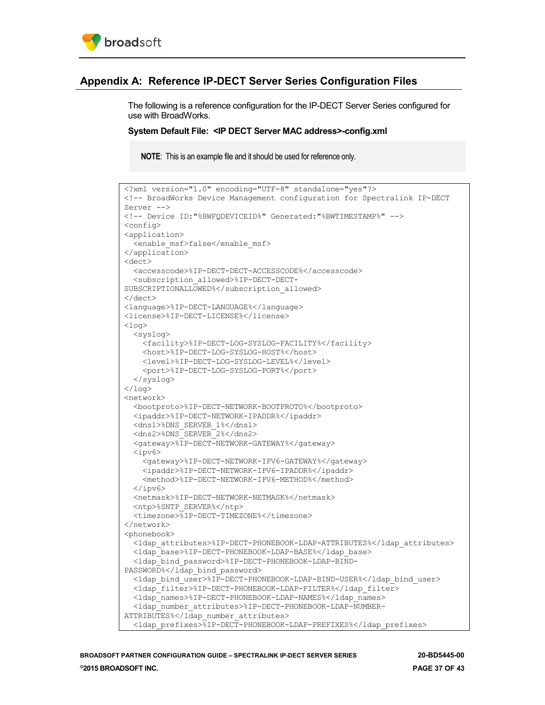

## <span id="page-36-0"></span>**Appendix A: Reference IP-DECT Server Series Configuration Files**

The following is a reference configuration for the IP-DECT Server Series configured for use with BroadWorks.

#### **System Default File: <IP DECT Server MAC address>-config.xml**

**NOTE**: This is an example file and it should be used for reference only.

```
<?xml version="1.0" encoding="UTF-8" standalone="yes"?>
<!-- BroadWorks Device Management configuration for Spectralink IP-DECT 
Server -->
<!-- Device ID:"%BWFQDEVICEID%" Generated:"%BWTIMESTAMP%" -->
<config>
<application>
  <enable_msf>false</enable_msf>
</application>
<dect>
  <accesscode>%IP-DECT-DECT-ACCESSCODE%</accesscode>
  <subscription_allowed>%IP-DECT-DECT-
SUBSCRIPTIONALLOWED%</subscription_allowed>
</dect>
<language>%IP-DECT-LANGUAGE%</language>
<license>%IP-DECT-LICENSE%</license>
<log>
  <syslog>
    <facility>%IP-DECT-LOG-SYSLOG-FACILITY%</facility>
     <host>%IP-DECT-LOG-SYSLOG-HOST%</host>
     <level>%IP-DECT-LOG-SYSLOG-LEVEL%</level>
     <port>%IP-DECT-LOG-SYSLOG-PORT%</port>
  </syslog>
\langlelog>
<network>
  <bootproto>%IP-DECT-NETWORK-BOOTPROTO%</bootproto>
  <ipaddr>%IP-DECT-NETWORK-IPADDR%</ipaddr>
  <dns1>%DNS_SERVER_1%</dns1>
  <dns2>%DNS_SERVER_2%</dns2>
  <gateway>%IP-DECT-NETWORK-GATEWAY%</gateway>
  <ipv6>
    <gateway>%IP-DECT-NETWORK-IPV6-GATEWAY%</gateway>
     <ipaddr>%IP-DECT-NETWORK-IPV6-IPADDR%</ipaddr>
     <method>%IP-DECT-NETWORK-IPV6-METHOD%</method>
  </ipv6>
  <netmask>%IP-DECT-NETWORK-NETMASK%</netmask>
  <ntp>%SNTP_SERVER%</ntp>
  <timezone>%IP-DECT-TIMEZONE%</timezone>
</network>
<phonebook>
  <ldap_attributes>%IP-DECT-PHONEBOOK-LDAP-ATTRIBUTES%</ldap_attributes>
  <ldap_base>%IP-DECT-PHONEBOOK-LDAP-BASE%</ldap_base>
  <ldap_bind_password>%IP-DECT-PHONEBOOK-LDAP-BIND-
PASSWORD%</ldap_bind_password>
  <ldap_bind_user>%IP-DECT-PHONEBOOK-LDAP-BIND-USER%</ldap_bind_user>
  <ldap_filter>%IP-DECT-PHONEBOOK-LDAP-FILTER%</ldap_filter>
 <ldap_names>%IP-DECT-PHONEBOOK-LDAP-NAMES%</ldap_names>
  <ldap_number_attributes>%IP-DECT-PHONEBOOK-LDAP-NUMBER-
ATTRIBUTES%</ldap_number_attributes>
   <ldap_prefixes>%IP-DECT-PHONEBOOK-LDAP-PREFIXES%</ldap_prefixes>
```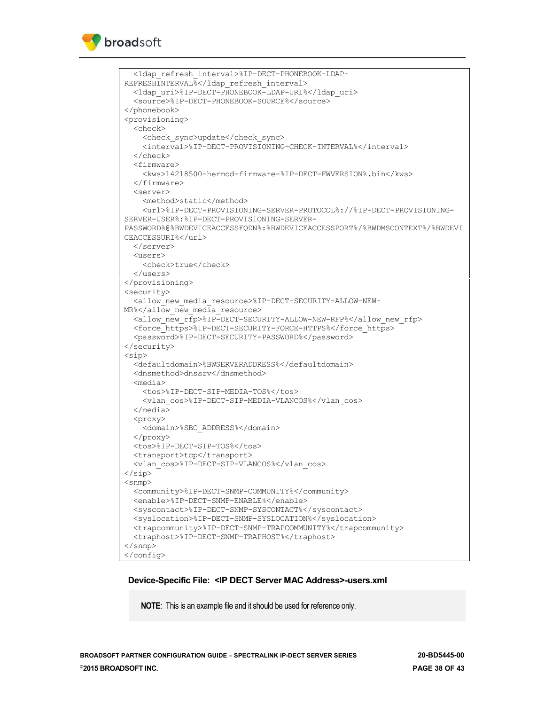```
 <ldap_refresh_interval>%IP-DECT-PHONEBOOK-LDAP-
REFRESHINTERVAL%</ldap_refresh_interval>
  <ldap_uri>%IP-DECT-PHONEBOOK-LDAP-URI%</ldap_uri>
  <source>%IP-DECT-PHONEBOOK-SOURCE%</source>
</phonebook>
<provisioning>
   <check>
     <check_sync>update</check_sync>
     <interval>%IP-DECT-PROVISIONING-CHECK-INTERVAL%</interval>
   </check>
  <firmware>
     <kws>14218500-hermod-firmware-%IP-DECT-FWVERSION%.bin</kws>
   </firmware>
  <server>
     <method>static</method>
     <url>%IP-DECT-PROVISIONING-SERVER-PROTOCOL%://%IP-DECT-PROVISIONING-
SERVER-USER%:%IP-DECT-PROVISIONING-SERVER-
PASSWORD%@%BWDEVICEACCESSFQDN%:%BWDEVICEACCESSPORT%/%BWDMSCONTEXT%/%BWDEVI
CEACCESSURI%</url>
  </server>
  <users>
    <check>true</check>
  </users>
</provisioning>
<security>
  <allow_new_media_resource>%IP-DECT-SECURITY-ALLOW-NEW-
MR%</allow new media resource>
  <allow_new_rfp>%IP-DECT-SECURITY-ALLOW-NEW-RFP%</allow_new_rfp>
  <force_https>%IP-DECT-SECURITY-FORCE-HTTPS%</force_https>
  <password>%IP-DECT-SECURITY-PASSWORD%</password>
</security>
<sip>
  <defaultdomain>%BWSERVERADDRESS%</defaultdomain>
  <dnsmethod>dnssrv</dnsmethod>
   <media>
    <tos>%IP-DECT-SIP-MEDIA-TOS%</tos>
     <vlan_cos>%IP-DECT-SIP-MEDIA-VLANCOS%</vlan_cos>
  </media>
  <proxy>
    <domain>%SBC_ADDRESS%</domain>
  </proxy>
  <tos>%IP-DECT-SIP-TOS%</tos>
 <transport>tcp</transport>
  <vlan_cos>%IP-DECT-SIP-VLANCOS%</vlan_cos>
\langle/sip\rangle<snmp>
  <community>%IP-DECT-SNMP-COMMUNITY%</community>
  <enable>%IP-DECT-SNMP-ENABLE%</enable>
  <syscontact>%IP-DECT-SNMP-SYSCONTACT%</syscontact>
  <syslocation>%IP-DECT-SNMP-SYSLOCATION%</syslocation>
  <trapcommunity>%IP-DECT-SNMP-TRAPCOMMUNITY%</trapcommunity>
  <traphost>%IP-DECT-SNMP-TRAPHOST%</traphost>
</snmp>
</config>
```
#### **Device-Specific File: <IP DECT Server MAC Address>-users.xml**

**NOTE**: This is an example file and it should be used for reference only.

**BROADSOFT PARTNER CONFIGURATION GUIDE – SPECTRALINK IP-DECT SERVER SERIES 20-BD5445-00 ©2015 BROADSOFT INC. PAGE 38 OF 43**

broadsoft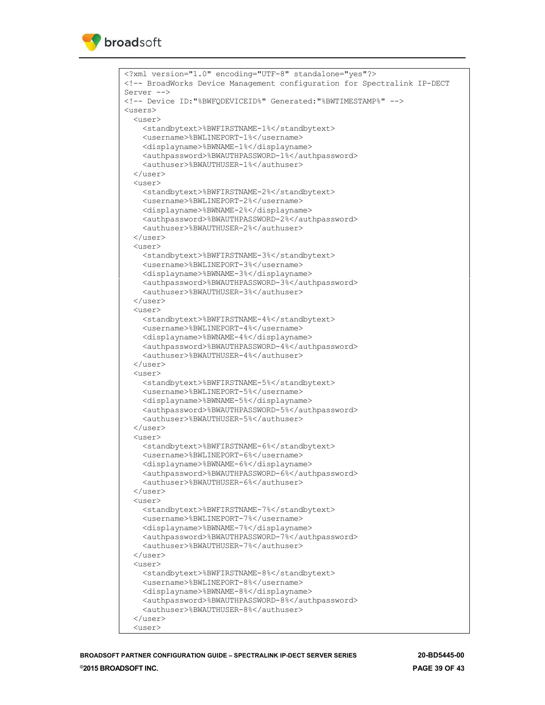```
<?xml version="1.0" encoding="UTF-8" standalone="yes"?>
<!-- BroadWorks Device Management configuration for Spectralink IP-DECT 
Server -->
<!-- Device ID:"%BWFQDEVICEID%" Generated:"%BWTIMESTAMP%" -->
\langleusers\rangle <user>
     <standbytext>%BWFIRSTNAME-1%</standbytext>
     <username>%BWLINEPORT-1%</username>
     <displayname>%BWNAME-1%</displayname>
     <authpassword>%BWAUTHPASSWORD-1%</authpassword>
     <authuser>%BWAUTHUSER-1%</authuser>
   </user>
   <user>
     <standbytext>%BWFIRSTNAME-2%</standbytext>
     <username>%BWLINEPORT-2%</username>
     <displayname>%BWNAME-2%</displayname>
     <authpassword>%BWAUTHPASSWORD-2%</authpassword>
     <authuser>%BWAUTHUSER-2%</authuser>
   </user>
   <user>
     <standbytext>%BWFIRSTNAME-3%</standbytext>
     <username>%BWLINEPORT-3%</username>
     <displayname>%BWNAME-3%</displayname>
     <authpassword>%BWAUTHPASSWORD-3%</authpassword>
     <authuser>%BWAUTHUSER-3%</authuser>
   </user>
   <user>
     <standbytext>%BWFIRSTNAME-4%</standbytext>
     <username>%BWLINEPORT-4%</username>
     <displayname>%BWNAME-4%</displayname>
     <authpassword>%BWAUTHPASSWORD-4%</authpassword>
     <authuser>%BWAUTHUSER-4%</authuser>
   </user>
   <user>
     <standbytext>%BWFIRSTNAME-5%</standbytext>
     <username>%BWLINEPORT-5%</username>
     <displayname>%BWNAME-5%</displayname>
     <authpassword>%BWAUTHPASSWORD-5%</authpassword>
     <authuser>%BWAUTHUSER-5%</authuser>
   </user>
   <user>
     <standbytext>%BWFIRSTNAME-6%</standbytext>
     <username>%BWLINEPORT-6%</username>
     <displayname>%BWNAME-6%</displayname>
     <authpassword>%BWAUTHPASSWORD-6%</authpassword>
     <authuser>%BWAUTHUSER-6%</authuser>
   </user>
  \langleuser>
     <standbytext>%BWFIRSTNAME-7%</standbytext>
     <username>%BWLINEPORT-7%</username>
     <displayname>%BWNAME-7%</displayname>
     <authpassword>%BWAUTHPASSWORD-7%</authpassword>
     <authuser>%BWAUTHUSER-7%</authuser>
   </user>
   <user>
     <standbytext>%BWFIRSTNAME-8%</standbytext>
     <username>%BWLINEPORT-8%</username>
     <displayname>%BWNAME-8%</displayname>
     <authpassword>%BWAUTHPASSWORD-8%</authpassword>
     <authuser>%BWAUTHUSER-8%</authuser>
   </user>
   <user>
```
broadsoft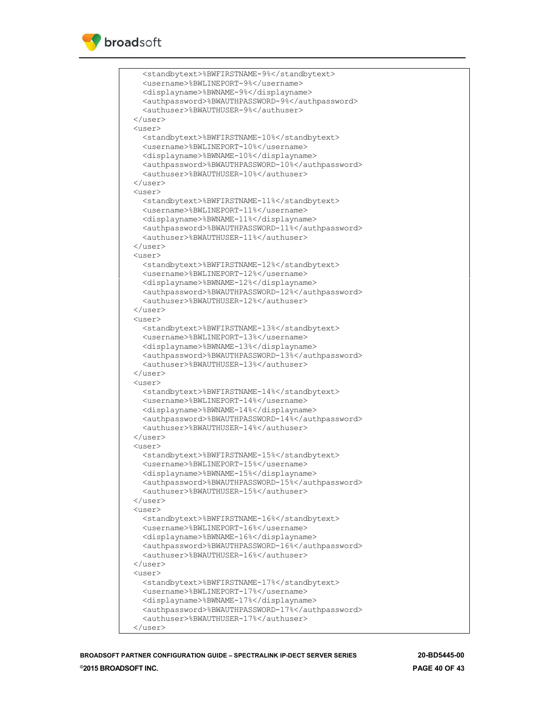

 <standbytext>%BWFIRSTNAME-9%</standbytext> <username>%BWLINEPORT-9%</username> <displayname>%BWNAME-9%</displayname> <authpassword>%BWAUTHPASSWORD-9%</authpassword> <authuser>%BWAUTHUSER-9%</authuser> </user> <user> <standbytext>%BWFIRSTNAME-10%</standbytext> <username>%BWLINEPORT-10%</username> <displayname>%BWNAME-10%</displayname> <authpassword>%BWAUTHPASSWORD-10%</authpassword> <authuser>%BWAUTHUSER-10%</authuser> </user>  $\langle$ user> <standbytext>%BWFIRSTNAME-11%</standbytext> <username>%BWLINEPORT-11%</username> <displayname>%BWNAME-11%</displayname> <authpassword>%BWAUTHPASSWORD-11%</authpassword> <authuser>%BWAUTHUSER-11%</authuser> </user>  $\langle$ user> <standbytext>%BWFIRSTNAME-12%</standbytext> <username>%BWLINEPORT-12%</username> <displayname>%BWNAME-12%</displayname> <authpassword>%BWAUTHPASSWORD-12%</authpassword> <authuser>%BWAUTHUSER-12%</authuser> </user> <user> <standbytext>%BWFIRSTNAME-13%</standbytext> <username>%BWLINEPORT-13%</username> <displayname>%BWNAME-13%</displayname> <authpassword>%BWAUTHPASSWORD-13%</authpassword> <authuser>%BWAUTHUSER-13%</authuser> </user> <user> <standbytext>%BWFIRSTNAME-14%</standbytext> <username>%BWLINEPORT-14%</username> <displayname>%BWNAME-14%</displayname> <authpassword>%BWAUTHPASSWORD-14%</authpassword> <authuser>%BWAUTHUSER-14%</authuser> </user> <user> <standbytext>%BWFIRSTNAME-15%</standbytext> <username>%BWLINEPORT-15%</username> <displayname>%BWNAME-15%</displayname> <authpassword>%BWAUTHPASSWORD-15%</authpassword> <authuser>%BWAUTHUSER-15%</authuser> </user> <user> <standbytext>%BWFIRSTNAME-16%</standbytext> <username>%BWLINEPORT-16%</username> <displayname>%BWNAME-16%</displayname> <authpassword>%BWAUTHPASSWORD-16%</authpassword> <authuser>%BWAUTHUSER-16%</authuser> </user> <user> <standbytext>%BWFIRSTNAME-17%</standbytext> <username>%BWLINEPORT-17%</username> <displayname>%BWNAME-17%</displayname> <authpassword>%BWAUTHPASSWORD-17%</authpassword> <authuser>%BWAUTHUSER-17%</authuser> </user>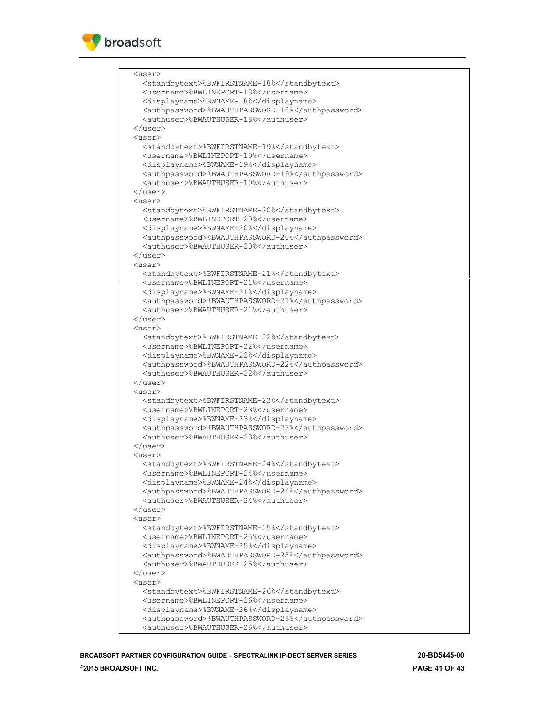

 <user> <standbytext>%BWFIRSTNAME-18%</standbytext> <username>%BWLINEPORT-18%</username> <displayname>%BWNAME-18%</displayname> <authpassword>%BWAUTHPASSWORD-18%</authpassword> <authuser>%BWAUTHUSER-18%</authuser> </user> <user> <standbytext>%BWFIRSTNAME-19%</standbytext> <username>%BWLINEPORT-19%</username> <displayname>%BWNAME-19%</displayname> <authpassword>%BWAUTHPASSWORD-19%</authpassword> <authuser>%BWAUTHUSER-19%</authuser>  $\langle$ /1194 $r$  $\langle$ user> <standbytext>%BWFIRSTNAME-20%</standbytext> <username>%BWLINEPORT-20%</username> <displayname>%BWNAME-20%</displayname> <authpassword>%BWAUTHPASSWORD-20%</authpassword> <authuser>%BWAUTHUSER-20%</authuser> </user>  $\langle$ user> <standbytext>%BWFIRSTNAME-21%</standbytext> <username>%BWLINEPORT-21%</username> <displayname>%BWNAME-21%</displayname> <authpassword>%BWAUTHPASSWORD-21%</authpassword> <authuser>%BWAUTHUSER-21%</authuser> </user>  $\langle$ user> <standbytext>%BWFIRSTNAME-22%</standbytext> <username>%BWLINEPORT-22%</username> <displayname>%BWNAME-22%</displayname> <authpassword>%BWAUTHPASSWORD-22%</authpassword> <authuser>%BWAUTHUSER-22%</authuser> </user>  $\langle$ user> <standbytext>%BWFIRSTNAME-23%</standbytext> <username>%BWLINEPORT-23%</username> <displayname>%BWNAME-23%</displayname> <authpassword>%BWAUTHPASSWORD-23%</authpassword> <authuser>%BWAUTHUSER-23%</authuser> </user>  $\langle$ user> <standbytext>%BWFIRSTNAME-24%</standbytext> <username>%BWLINEPORT-24%</username> <displayname>%BWNAME-24%</displayname> <authpassword>%BWAUTHPASSWORD-24%</authpassword> <authuser>%BWAUTHUSER-24%</authuser> </user> <user> <standbytext>%BWFIRSTNAME-25%</standbytext> <username>%BWLINEPORT-25%</username> <displayname>%BWNAME-25%</displayname> <authpassword>%BWAUTHPASSWORD-25%</authpassword> <authuser>%BWAUTHUSER-25%</authuser> </user> <user> <standbytext>%BWFIRSTNAME-26%</standbytext> <username>%BWLINEPORT-26%</username> <displayname>%BWNAME-26%</displayname> <authpassword>%BWAUTHPASSWORD-26%</authpassword> <authuser>%BWAUTHUSER-26%</authuser>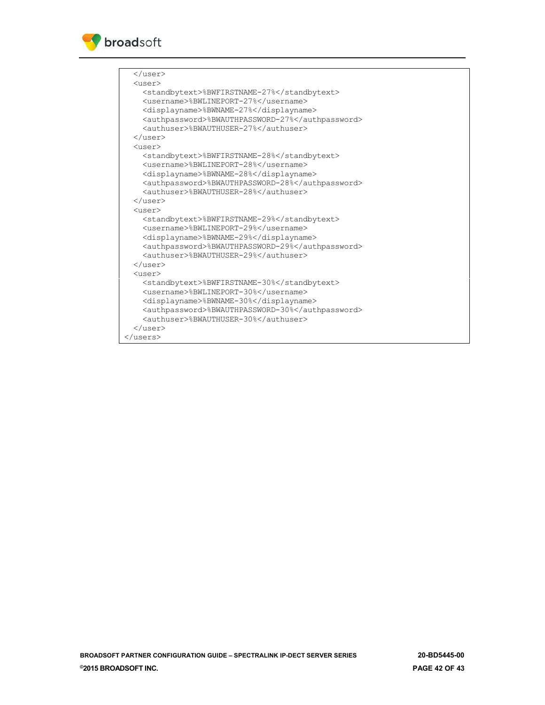